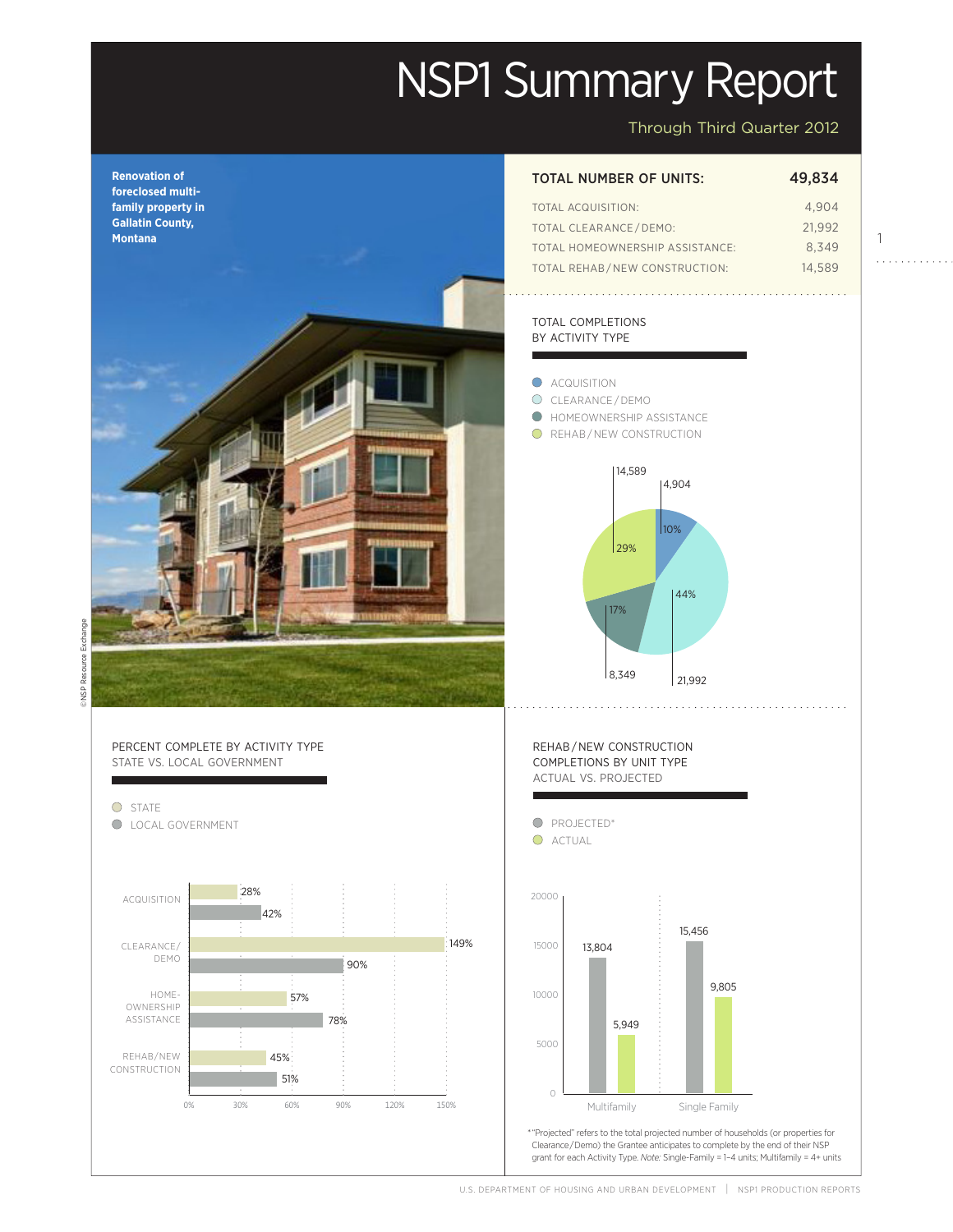# NSP1 Summary Report

Through Third Quarter 2012

1

. . . . . . . . . . .

Actual

149%

Projected

Projected



## TOTAL NUMBER OF UNITS: 49,834

| TOTAL ACQUISITION:              | 4.904  |
|---------------------------------|--------|
| <b>TOTAL CLEARANCE/DEMO:</b>    | 21.992 |
| TOTAL HOMEOWNERSHIP ASSISTANCE: | 8.349  |
| TOTAL REHAB/NEW CONSTRUCTION:   | 14.589 |

#### TOTAL COMPLETIONS BY ACTIVITY TYPE



**DNSP Resource Exchange** © NSP Resource Exchange



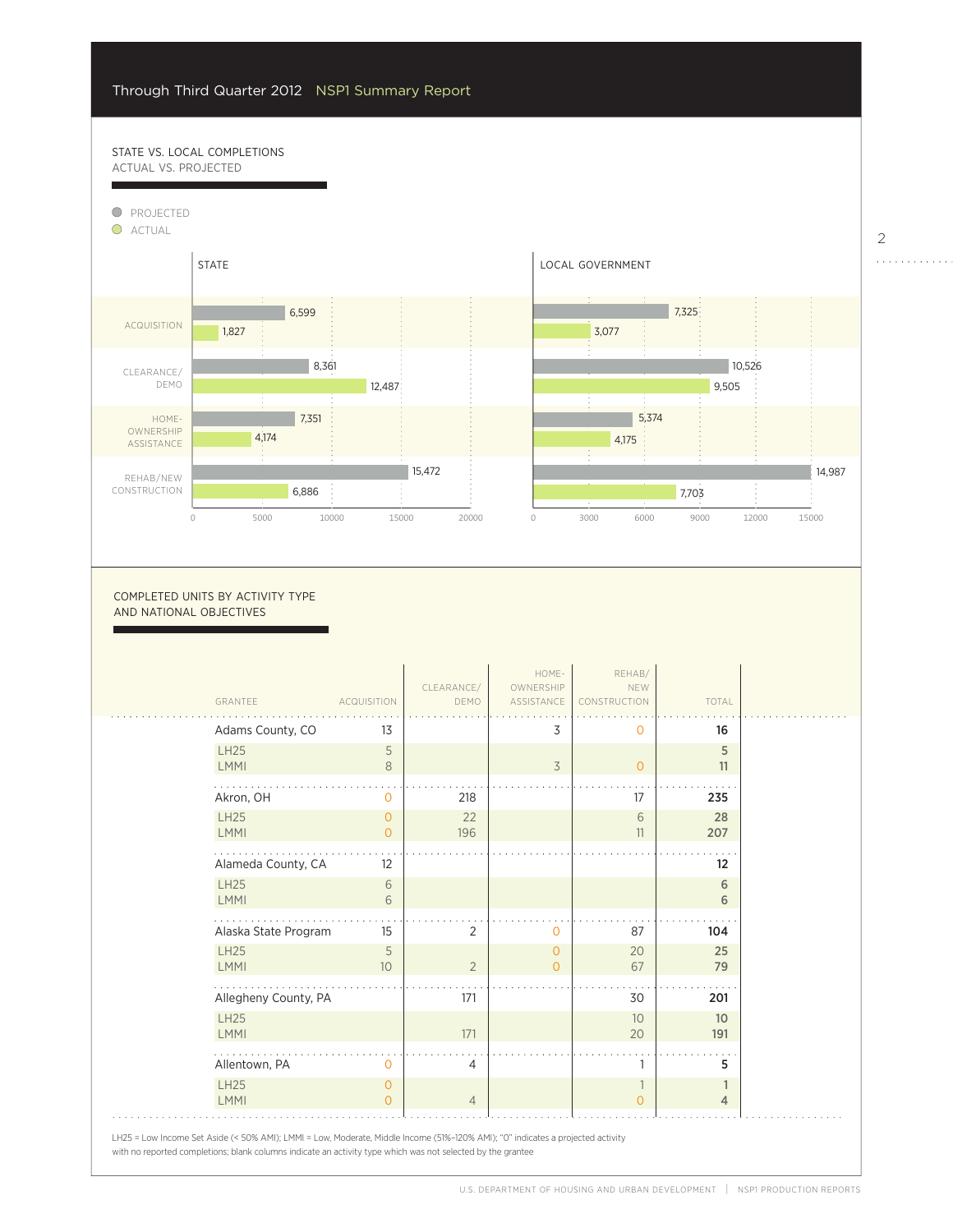57%

## STATE VS. LOCAL COMPLETIONS ACTUAL VS. PROJECTED



0

COMPLETED UNITS BY ACTIVITY TYPE AND NATIONAL OBJECTIVES

| GRANTEE                    | <b>ACQUISITION</b> | CLEARANCE/<br>DEMO | HOME-<br>OWNERSHIP<br>ASSISTANCE | REHAB/<br>NEW<br>CONSTRUCTION | TOTAL   |  |
|----------------------------|--------------------|--------------------|----------------------------------|-------------------------------|---------|--|
| Adams County, CO           | 13                 |                    | 3                                | $\overline{0}$                | 16      |  |
| <b>LH25</b><br><b>LMMI</b> | 5<br>8             |                    | 3                                | $\overline{0}$                | 5<br>11 |  |
|                            |                    |                    |                                  |                               |         |  |
| Akron, OH                  | $\Omega$           | 218                |                                  | 17                            | 235     |  |
| <b>LH25</b>                | $\circ$            | 22                 |                                  | 6                             | 28      |  |
| <b>LMMI</b>                | $\Omega$           | 196                |                                  | 11                            | 207     |  |
| Alameda County, CA         | 12                 |                    |                                  |                               | 12      |  |
| <b>LH25</b>                | 6                  |                    |                                  |                               | 6       |  |
| <b>LMMI</b>                | 6                  |                    |                                  |                               | 6       |  |
| Alaska State Program       | 15                 | 2                  | 0                                | 87                            | 104     |  |
| <b>LH25</b>                | 5                  |                    | 0                                | 20                            | 25      |  |
| <b>LMMI</b>                | 10                 | $\overline{2}$     | $\overline{0}$                   | 67                            | 79      |  |
| Allegheny County, PA       |                    | 171                |                                  | 30                            | 201     |  |
| <b>LH25</b>                |                    |                    |                                  | 10                            | 10      |  |
| <b>LMMI</b>                |                    | 171                |                                  | 20                            | 191     |  |
| Allentown, PA              | O                  | 4                  |                                  | -1                            | 5       |  |
| <b>LH25</b>                | $\mathbf 0$        |                    |                                  | $\overline{1}$                | 1       |  |
| <b>LMMI</b>                | $\Omega$           | $\overline{4}$     |                                  | $\overline{0}$                | 4       |  |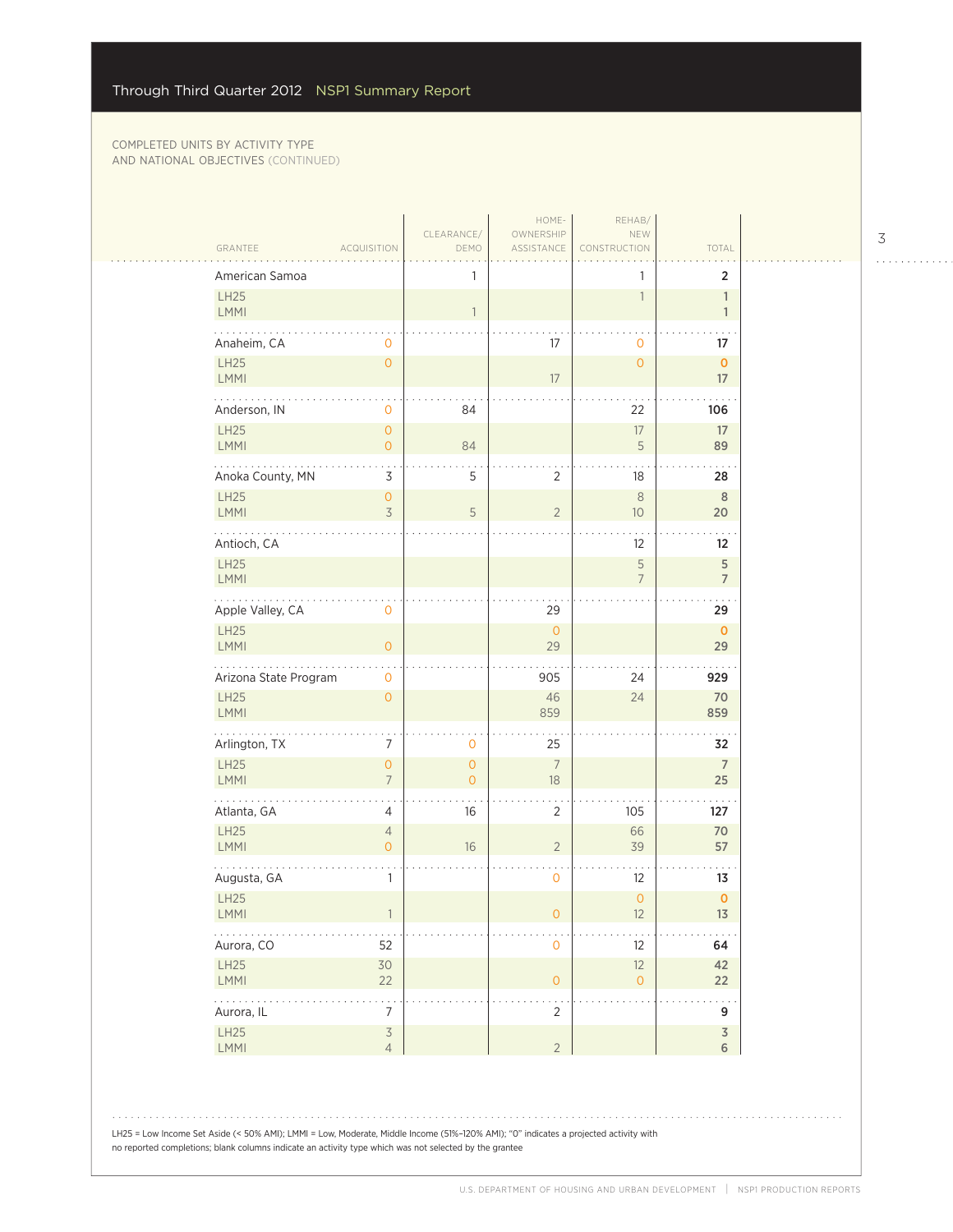$\sim$  .

| American Samoa                 | 1                                                                              |                      | 1                         | $\overline{2}$               |
|--------------------------------|--------------------------------------------------------------------------------|----------------------|---------------------------|------------------------------|
| LH25<br>LMMI                   | $\overline{1}$                                                                 |                      | $\overline{1}$            | $\mathbf{1}$<br>$\mathbf{1}$ |
| Anaheim, CA                    | $\mathbf{0}$                                                                   | 17                   | $\mathbf{0}$              | 17                           |
| LH25<br><b>LMMI</b>            | $\mathsf{O}\xspace$                                                            | 17                   | $\overline{O}$            | $\pmb{0}$<br>17              |
| Anderson, IN                   | 84<br>$\mathbf 0$                                                              |                      | 22                        | 106                          |
| <b>LH25</b><br><b>LMMI</b>     | $\circ$<br>$\circ$<br>84                                                       |                      | 17<br>5                   | 17<br>89                     |
| Anoka County, MN               | 3<br>5                                                                         | $\sqrt{2}$           | 18                        | 28                           |
| <b>LH25</b><br>LMMI            | $\circ$<br>$\overline{3}$<br>$\mathsf S$                                       | $\sqrt{2}$           | $\,8\,$<br>10             | $\,$ 8 $\,$<br>20            |
| Antioch, CA                    |                                                                                |                      | 12                        | 12                           |
| LH25<br>LMMI                   |                                                                                |                      | 5<br>$\overline{7}$       | $\sqrt{5}$<br>$\overline{7}$ |
| .<br>Apple Valley, CA          | $\mathbf 0$                                                                    | 29                   |                           | 29                           |
| <b>LH25</b><br>LMMI            | $\overline{0}$                                                                 | $\circ$<br>29        |                           | $\mathbf{O}$<br>29           |
| Arizona State Program          | $\mathbf{0}$                                                                   | 905                  | 24                        | 929                          |
| <b>LH25</b><br>LMMI            | $\overline{0}$                                                                 | 46<br>859            | 24                        | 70<br>859                    |
| .<br>Arlington, TX             | 7<br>0                                                                         | 25                   |                           | 32                           |
| LH25<br><b>LMMI</b>            | $\mathsf{O}\xspace$<br>$\mathsf{O}\xspace$<br>$\overline{7}$<br>$\overline{O}$ | $\overline{7}$<br>18 |                           | $\overline{7}$<br>25         |
| Atlanta, GA<br><b>LH25</b>     | $\overline{4}$<br>16<br>$\overline{4}$                                         | $\sqrt{2}$           | 105                       | 127<br>70                    |
| <b>LMMI</b>                    | 16<br>$\overline{O}$                                                           | $\sqrt{2}$           | 66<br>39                  | 57                           |
| Augusta, GA<br>LH25            | 1                                                                              | 0                    | 12<br>$\mathsf{O}\xspace$ | 13<br>$\mathbf 0$            |
| LMMI<br>.                      |                                                                                | 0                    | 12                        | 13                           |
| Aurora, CO<br>52<br>LH25<br>30 |                                                                                | $\mathsf{O}\xspace$  | 12<br>12                  | 64<br>42                     |
| 22<br>LMMI<br>والمالم والمالي  | $\ddotsc$                                                                      | $\mathsf{O}\xspace$  | $\mathsf O$               | 22<br>$\sim$ .               |
| Aurora, IL<br>LH25             | 7<br>$\overline{\mathcal{S}}$                                                  | $\overline{2}$       |                           | 9<br>$\overline{3}$          |
| LMMI                           | $\overline{4}$                                                                 | $\overline{2}$       |                           | $6\,$                        |

LH25 = Low Income Set Aside (< 50% AMI); LMMI = Low, Moderate, Middle Income (51%–120% AMI); "0" indicates a projected activity with no reported completions; blank columns indicate an activity type which was not selected by the grantee

3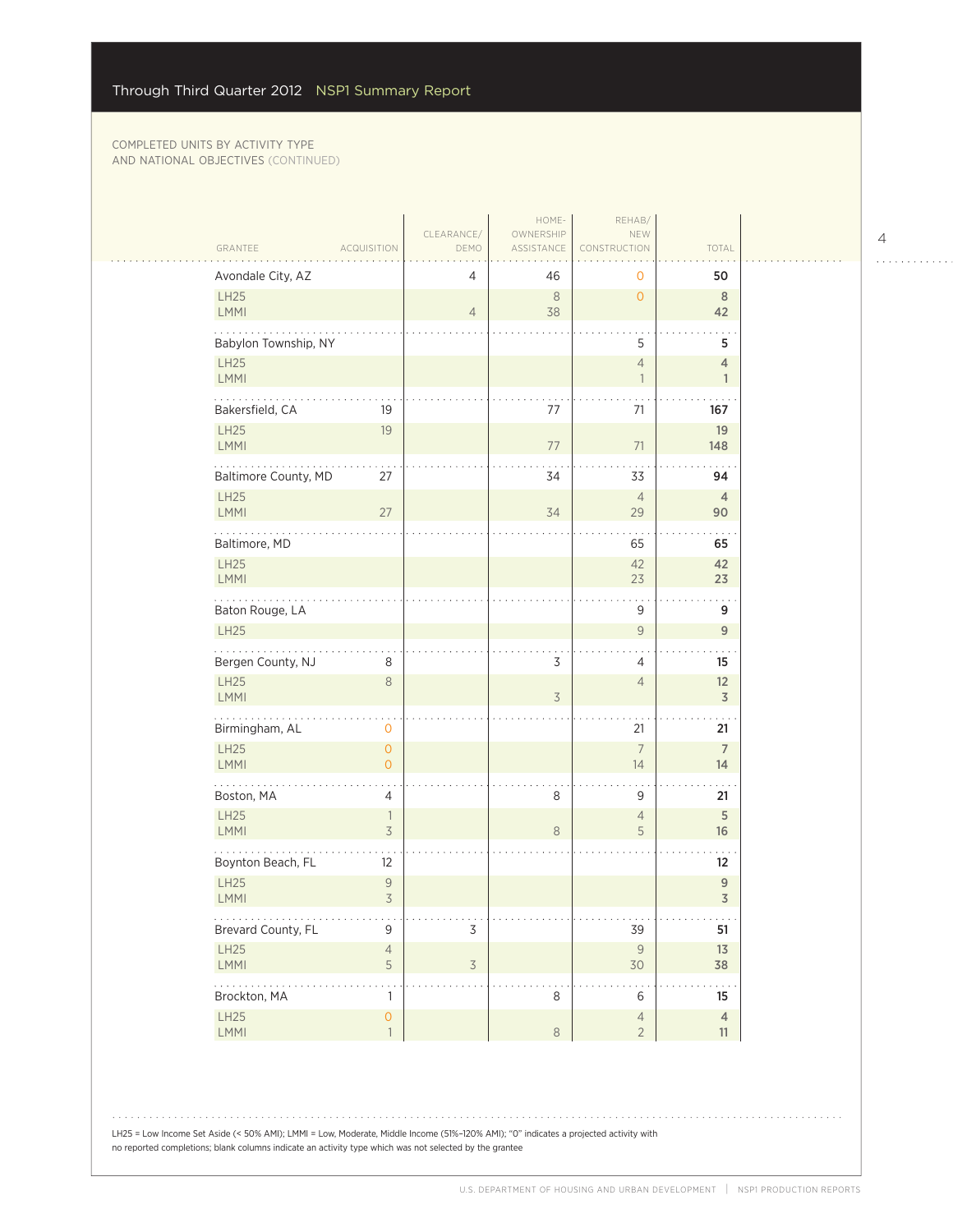| GRANTEE                    | <b>ACQUISITION</b>                    | CLEARANCE/<br>DEMO | HOME-<br>OWNERSHIP<br>ASSISTANCE | REHAB/<br>NEW<br>CONSTRUCTION     | TOTAL                          |
|----------------------------|---------------------------------------|--------------------|----------------------------------|-----------------------------------|--------------------------------|
| Avondale City, AZ          |                                       | 4                  | 46                               | 0                                 | 50                             |
| LH25<br>LMMI               |                                       | $\overline{4}$     | $\,8\,$<br>38                    | $\overline{0}$                    | $8\phantom{1}$<br>42           |
| Babylon Township, NY       |                                       |                    |                                  | 5                                 | 5                              |
| LH25<br>LMMI               |                                       |                    |                                  | $\overline{4}$<br>$\overline{1}$  | $\overline{4}$<br>$\mathbf{1}$ |
| .<br>Bakersfield, CA       | 19                                    |                    | 77                               | 71                                | 167                            |
| LH25<br>LMMI               | 19                                    |                    | 77                               | 71                                | 19<br>148                      |
| Baltimore County, MD       | 27                                    |                    | 34                               | 33                                | 94                             |
| <b>LH25</b><br>LMMI        | 27                                    |                    | 34                               | $\overline{4}$<br>29              | $\overline{4}$<br>90           |
| Baltimore, MD              |                                       |                    |                                  | 65                                | 65                             |
| LH25<br>LMMI               |                                       |                    |                                  | 42<br>23                          | 42<br>23                       |
| Baton Rouge, LA            |                                       |                    |                                  | 9                                 | 9                              |
| <b>LH25</b>                |                                       |                    |                                  | $\mathsf{9}$                      | $\mathsf g$                    |
| Bergen County, NJ          | 8                                     |                    | 3                                | 4                                 | 15                             |
| LH25<br>LMMI               | $\,8\,$                               |                    | 3                                | $\overline{4}$                    | 12<br>$\overline{\mathsf{3}}$  |
| .<br>Birmingham, AL        | $\mathbf 0$                           |                    |                                  | 21                                | 21                             |
| <b>LH25</b><br><b>LMMI</b> | $\overline{0}$<br>$\Omega$            |                    |                                  | $\overline{7}$<br>14              | $\overline{7}$<br>14           |
| Boston, MA                 | 4                                     |                    | 8                                | 9                                 | 21                             |
| LH25<br>LMMI               | $\overline{1}$<br>3                   |                    | $\,8\,$                          | $\overline{4}$<br>5               | $\overline{5}$<br>16           |
| Boynton Beach, FL          | 12                                    |                    |                                  |                                   | 12                             |
| LH25<br>LMMI               | $\mathsf 9$<br>3                      |                    |                                  |                                   | $\mathsf g$<br>3               |
| .<br>Brevard County, FL    | 9                                     | $\mathsf 3$        |                                  | e e el<br>39                      | $\sim$ $\sim$ $\sim$<br>51     |
| LH25<br>LMMI               | $\overline{4}$<br>5                   | $\overline{3}$     |                                  | $\mathcal{G}$<br>30               | 13<br>38                       |
| .<br>Brockton, MA          | 1                                     |                    | 8                                | 6                                 | 15                             |
| LH25<br>LMMI               | $\mathsf{O}\xspace$<br>$\overline{1}$ |                    | $\,8\,$                          | $\overline{4}$<br>$2\overline{ }$ | $\overline{4}$<br>$11\,$       |

4

 $\begin{array}{cccccccccccccc} . & . & . & . & . & . & . & . & . & . & . & . & . \end{array}$ 

LH25 = Low Income Set Aside (< 50% AMI); LMMI = Low, Moderate, Middle Income (51%–120% AMI); "0" indicates a projected activity with no reported completions; blank columns indicate an activity type which was not selected by the grantee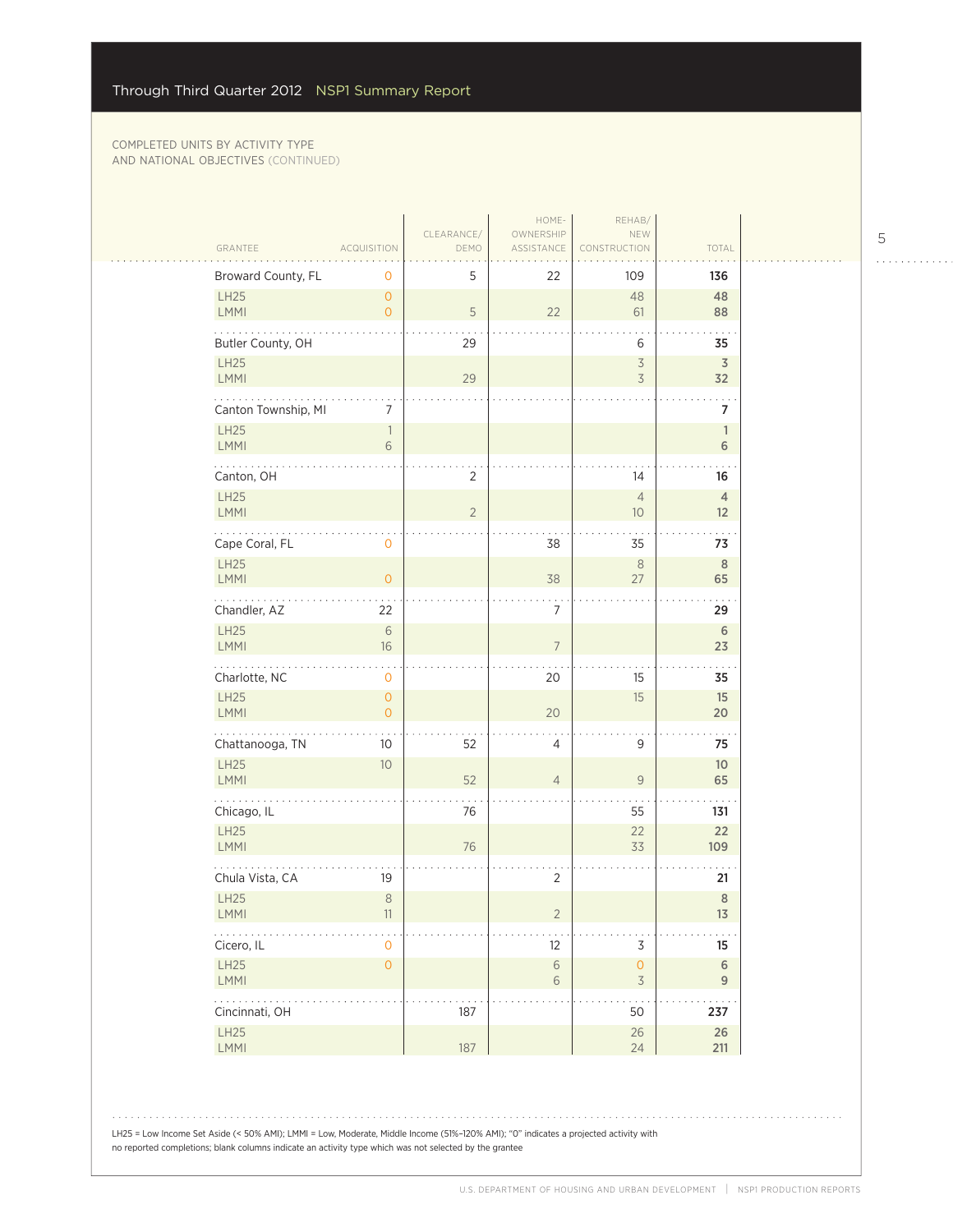$\mathcal{L}_{\mathcal{A}}$ 

|                                |                                  | CLEARANCE/  | HOME-<br>OWNERSHIP       | REHAB/<br>NEW                                   |                                   |  |
|--------------------------------|----------------------------------|-------------|--------------------------|-------------------------------------------------|-----------------------------------|--|
| GRANTEE                        | <b>ACQUISITION</b>               | DEMO        | ASSISTANCE               | CONSTRUCTION                                    | TOTAL                             |  |
| Broward County, FL             | 0                                | 5           | 22                       | 109                                             | 136                               |  |
| LH25<br>LMMI                   | $\overline{O}$<br>$\overline{0}$ | $\mathsf S$ | 22                       | 48<br>61                                        | 48<br>88                          |  |
| Butler County, OH              |                                  | 29          |                          | 6                                               | 35                                |  |
| LH25<br><b>LMMI</b>            |                                  | 29          |                          | $\overline{\mathcal{S}}$<br>$\overline{3}$      | 3<br>32                           |  |
| Canton Township, MI            | 7                                |             |                          |                                                 | $\overline{7}$                    |  |
| <b>LH25</b><br><b>LMMI</b>     | $\overline{\phantom{a}}$<br>6    |             |                          |                                                 | $\mathbf{1}$<br>$6\,$             |  |
| Canton, OH                     |                                  | $\sqrt{2}$  |                          | 14                                              | 16                                |  |
| LH25<br><b>LMMI</b>            |                                  | $\sqrt{2}$  |                          | $\overline{4}$<br>10                            | $\overline{4}$<br>12 <sup>2</sup> |  |
| Cape Coral, FL                 | $\mathbf 0$                      |             | 38                       | 35                                              | 73                                |  |
| LH25<br>LMMI                   | $\overline{O}$                   |             | 38                       | $\,8\,$<br>27                                   | $8\phantom{1}$<br>65              |  |
| لأنتاب المنابذ<br>Chandler, AZ | 22                               |             | $\overline{7}$           |                                                 | 29                                |  |
| LH25<br>LMMI                   | $\sqrt{6}$<br>16                 |             | $\overline{7}$           |                                                 | 6<br>23                           |  |
| Charlotte, NC                  | $\mathbf{O}$                     |             | 20                       | 15                                              | 35                                |  |
| LH25<br><b>LMMI</b>            | $\circ$<br>$\overline{O}$        |             | 20                       | 15                                              | 15<br>20                          |  |
| .<br>Chattanooga, TN           | 10                               | 52          | $\overline{4}$           | 9                                               | 75                                |  |
| LH25<br><b>LMMI</b>            | 10 <sup>°</sup>                  | 52          | $\overline{4}$           | $\mathsf{9}$                                    | 10 <sup>°</sup><br>65             |  |
| Chicago, IL                    |                                  | 76          |                          | 55                                              | 131                               |  |
| <b>LH25</b><br>LMMI            |                                  | 76          |                          | 22<br>33                                        | 22<br>109                         |  |
| Chula Vista, CA                | 19                               |             | 2                        |                                                 | 21                                |  |
| LH25<br>$\mathsf{LMMI}$        | $\,8\,$<br>11                    |             | $\overline{2}$           |                                                 | $\,8\,$<br>13                     |  |
| .<br>Cicero, IL                | $\mathbf{O}$                     |             | 12                       | 3                                               | 15                                |  |
| LH25<br>LMMI                   | $\mathsf{O}\xspace$              |             | $\sqrt{6}$<br>$\sqrt{6}$ | $\mathsf{O}\xspace$<br>$\overline{\mathcal{S}}$ | $\sqrt{6}$<br>$9\,$               |  |
| .<br>Cincinnati, OH            |                                  | 187         |                          | 50                                              | 237                               |  |
| LH25<br>LMMI                   |                                  | 187         |                          | $26\,$<br>24                                    | $26\,$<br>211                     |  |

5  $\begin{array}{cccccccccccccc} . & . & . & . & . & . & . & . & . & . & . & . & . \end{array}$ 

LH25 = Low Income Set Aside (< 50% AMI); LMMI = Low, Moderate, Middle Income (51%–120% AMI); "0" indicates a projected activity with no reported completions; blank columns indicate an activity type which was not selected by the grantee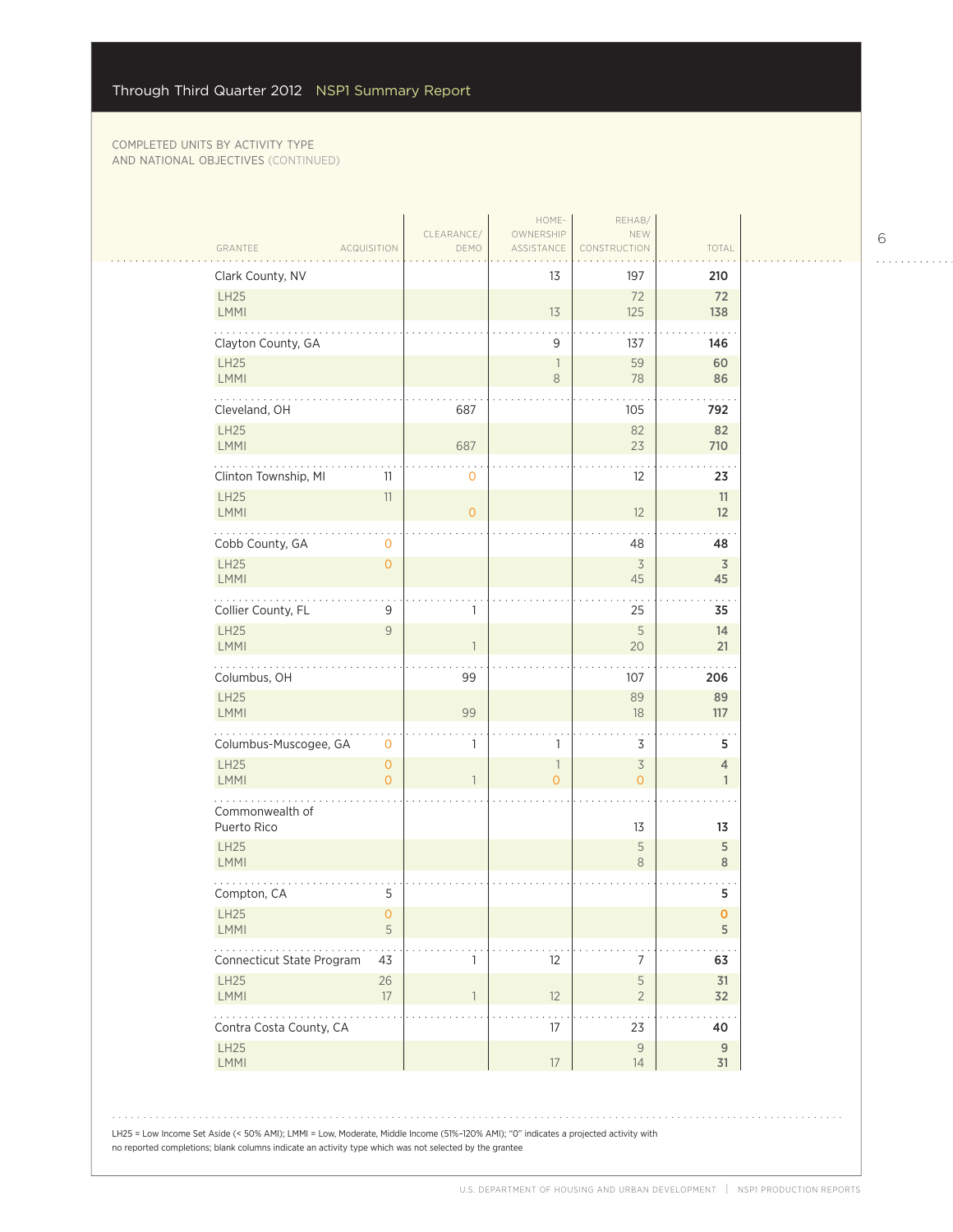$\sim 1$  .

 $\Box$ 

| Clark County, NV               |                                  |                | 13            | 197                              | 210               |  |
|--------------------------------|----------------------------------|----------------|---------------|----------------------------------|-------------------|--|
| LH25<br>LMMI                   |                                  |                | 13            | 72<br>125                        | 72<br>138         |  |
| Clayton County, GA             |                                  |                | 9             | 137                              | 146               |  |
| LH25<br>LMMI                   |                                  |                | 1<br>8        | 59<br>78                         | 60<br>86          |  |
| .                              |                                  |                |               |                                  |                   |  |
| Cleveland, OH<br>LH25          |                                  | 687            |               | 105<br>82                        | 792<br>82         |  |
| <b>LMMI</b>                    |                                  | 687            |               | 23                               | 710               |  |
| Clinton Township, MI           | 11                               | $\mathbf 0$    |               | $12 \overline{ }$                | 23                |  |
| <b>LH25</b><br><b>LMMI</b>     | 11                               | $\overline{0}$ |               | 12                               | 11<br>12          |  |
| Cobb County, GA                | 0                                |                |               | 48                               | 48                |  |
| <b>LH25</b>                    | $\mathbf{0}$                     |                |               | $\overline{3}$                   | $\overline{3}$    |  |
| LMMI                           |                                  |                |               | 45                               | 45                |  |
| Collier County, FL             | 9                                | $\mathbf{1}$   |               | 25                               | 35                |  |
| <b>LH25</b><br><b>LMMI</b>     | 9                                |                |               | $\sqrt{5}$<br>20                 | 14<br>21          |  |
| Columbus, OH                   |                                  | 99             |               | 107                              | 206               |  |
| LH25<br>LMMI                   |                                  | 99             |               | 89<br>18                         | 89<br>117         |  |
| Columbus-Muscogee, GA          | 0                                | 1              | 1             | 3                                | 5                 |  |
| LH25<br><b>LMMI</b>            | $\overline{O}$<br>$\overline{O}$ | $\mathbf{1}$   | 1<br>$\Omega$ | $\overline{3}$<br>$\overline{O}$ | 4<br>$\mathbf{1}$ |  |
|                                |                                  |                |               |                                  |                   |  |
| Commonwealth of<br>Puerto Rico |                                  |                |               | 13                               | 13                |  |
| LH25<br>LMMI                   |                                  |                |               | 5<br>$\,8\,$                     | 5<br>$\,8\,$      |  |
| Compton, CA                    | 5                                |                |               |                                  | 5                 |  |
| LH25                           | O.                               |                |               |                                  | $\mathbf 0$       |  |
| <b>LMMI</b><br>.               | 5                                |                |               |                                  | 5                 |  |
| Connecticut State Program      | 43                               | 1              | 12            | 7                                | 63                |  |
| LH25<br><b>LMMI</b>            | 26<br>17                         | $\mathbf{1}$   | 12            | 5<br>$\overline{2}$              | 31<br>32          |  |
| Contra Costa County, CA        |                                  |                | 17            | 23                               | 40                |  |
| LH25<br><b>LMMI</b>            |                                  |                | 17            | $\mathsf 9$<br>14                | $9\,$<br>31       |  |
|                                |                                  |                |               |                                  |                   |  |

6

. . . . . . . . . . . .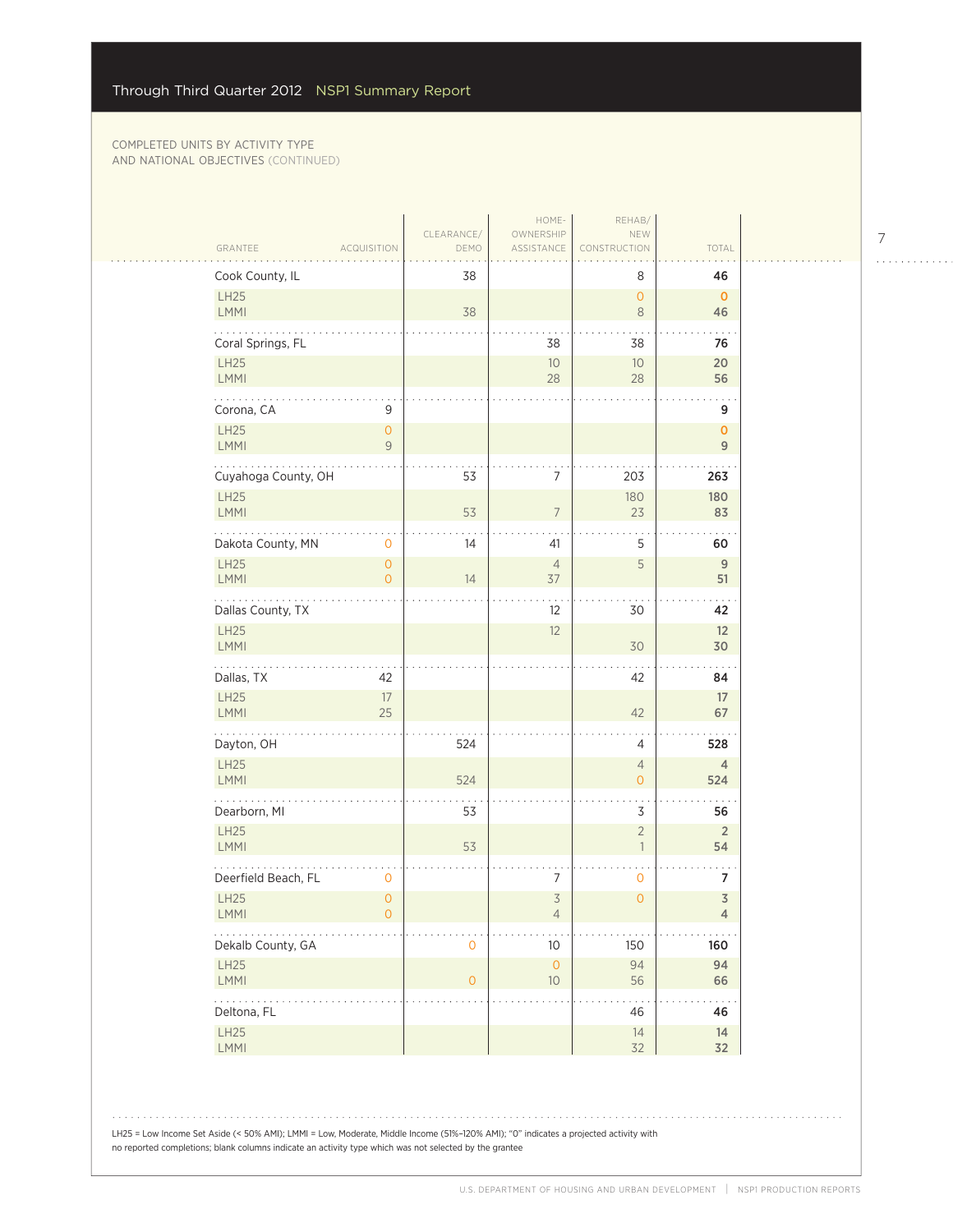|                        |                                       |                    | HOME-                            | REHAB/                                     |                                           |
|------------------------|---------------------------------------|--------------------|----------------------------------|--------------------------------------------|-------------------------------------------|
| GRANTEE                | <b>ACQUISITION</b>                    | CLEARANCE/<br>DEMO | OWNERSHIP<br>ASSISTANCE          | NEW<br>CONSTRUCTION                        | TOTAL                                     |
| Cook County, IL        |                                       | 38                 |                                  | 8                                          | 46                                        |
| LH25<br>LMMI           |                                       | 38                 |                                  | $\circ$<br>$\,8\,$                         | $\mathbf 0$<br>46                         |
| Coral Springs, FL      |                                       |                    | 38                               | 38                                         | $\sim$<br>76                              |
| LH25<br>LMMI           |                                       |                    | $10$<br>28                       | 10<br>28                                   | 20<br>56                                  |
| Corona, CA             | 9                                     |                    |                                  |                                            | 9                                         |
| LH25<br>LMMI           | $\overline{O}$<br>$\mathsf{9}$        |                    |                                  |                                            | $\mathbf{o}$<br>$\overline{9}$            |
| Cuyahoga County, OH    |                                       | 53                 | 7                                | 203                                        | 263                                       |
| LH25<br>LMMI           |                                       | 53                 | $\overline{7}$                   | 180<br>23                                  | 180<br>83                                 |
| Dakota County, MN      | $\mathbf 0$                           | 14                 | 41                               | 5                                          | 60                                        |
| LH25<br><b>LMMI</b>    | $\mathsf{O}\xspace$<br>$\overline{O}$ | 14                 | $\overline{4}$<br>37             | 5                                          | $\overline{9}$<br>51                      |
| Dallas County, TX      |                                       |                    | 12                               | 30                                         | 42                                        |
| LH25<br>LMMI           |                                       |                    | 12                               | 30                                         | 12<br>30                                  |
| Dallas, TX             | 42                                    |                    |                                  | 42                                         | 84                                        |
| LH25<br>LMMI           | $17\,$<br>25                          |                    |                                  | 42                                         | 17<br>67                                  |
| Dayton, OH             |                                       | 524                |                                  | 4                                          | 528                                       |
| LH25<br><b>LMMI</b>    |                                       | 524                |                                  | $\overline{4}$<br>$\overline{0}$           | $\overline{4}$<br>524                     |
| Dearborn, MI           |                                       | 53                 |                                  | 3                                          | 56                                        |
| <b>LH25</b><br>LMMI    |                                       | 53                 |                                  | $\overline{2}$<br>$\overline{\phantom{a}}$ | $\overline{2}$<br>54                      |
| Deerfield Beach, FL    | 0                                     |                    | 7                                | $\mathbf 0$                                | 7                                         |
| LH25<br>LMMI           | $\mathsf{O}\xspace$<br>$\circ$        |                    | $\overline{3}$<br>$\overline{4}$ | $\overline{O}$                             | $\overline{\mathsf{3}}$<br>$\overline{4}$ |
| .<br>Dekalb County, GA |                                       | 0                  | $10$                             | 150                                        | 160                                       |
| LH25<br>LMMI           |                                       | $\overline{O}$     | $\mathsf{O}\xspace$<br>$10$      | 94<br>56                                   | 94<br>66                                  |
| .<br>Deltona, FL       |                                       |                    |                                  | 46                                         | 46                                        |
| LH25<br>LMMI           |                                       |                    |                                  | 14<br>32                                   | $14\,$<br>32                              |

7

 $\begin{array}{cccccccccccccc} . & . & . & . & . & . & . & . & . & . & . & . & . \end{array}$ 

LH25 = Low Income Set Aside (< 50% AMI); LMMI = Low, Moderate, Middle Income (51%–120% AMI); "0" indicates a projected activity with no reported completions; blank columns indicate an activity type which was not selected by the grantee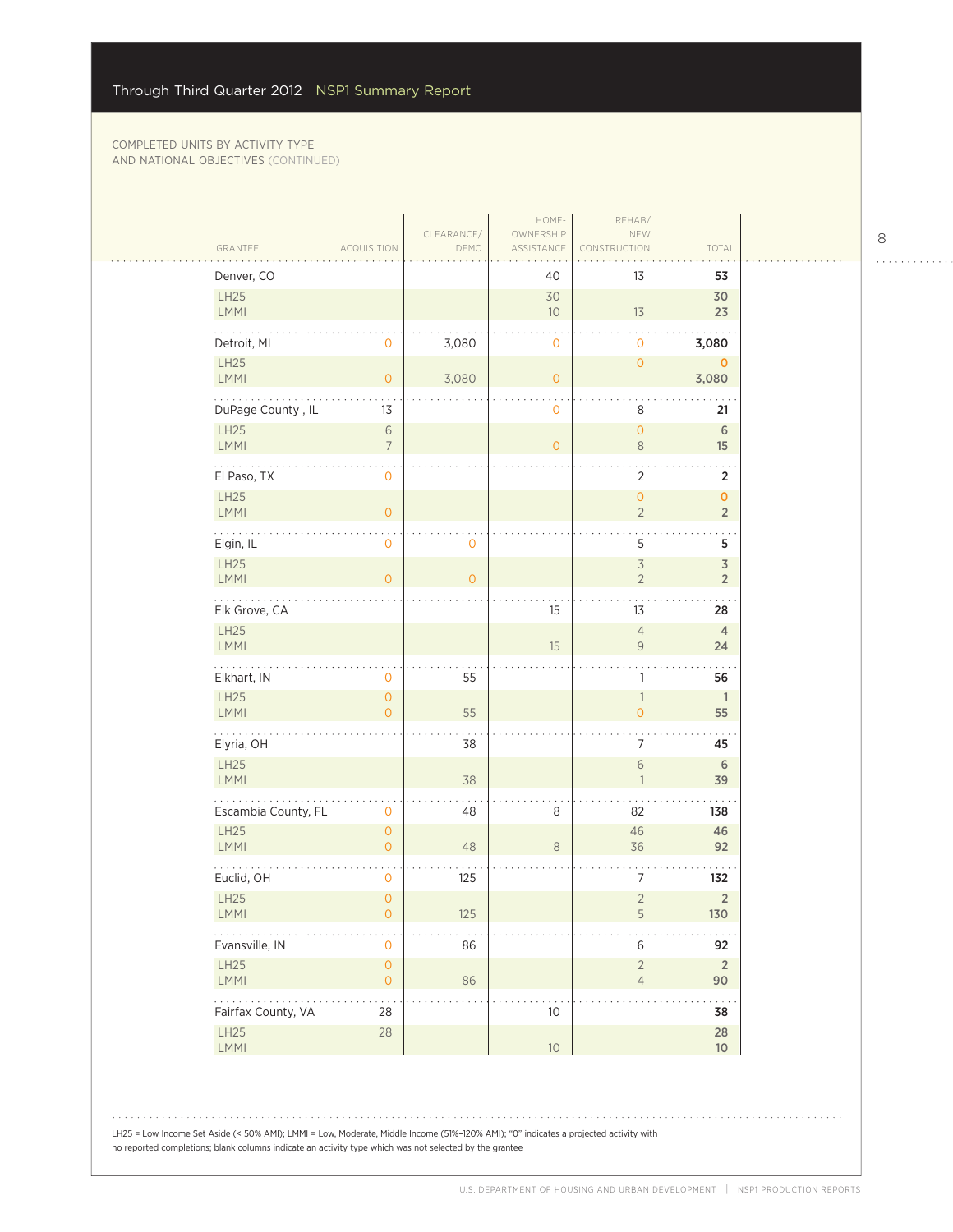| GRANTEE                 | <b>ACQUISITION</b>                    | CLEARANCE/<br>DEMO | HOME-<br>OWNERSHIP<br>ASSISTANCE | REHAB/<br>NEW<br>CONSTRUCTION              | TOTAL                                     |
|-------------------------|---------------------------------------|--------------------|----------------------------------|--------------------------------------------|-------------------------------------------|
| Denver, CO              |                                       |                    | 40                               | 13                                         | 53                                        |
| LH25<br><b>LMMI</b>     |                                       |                    | 30<br>10                         | 13                                         | 30<br>23                                  |
| Detroit, MI             | 0                                     | 3,080              | 0                                | 0                                          | 3,080                                     |
| LH25<br>LMMI            | $\overline{O}$                        | 3,080              | $\overline{O}$                   | $\mathbf 0$                                | $\mathbf 0$<br>3,080                      |
| .<br>DuPage County, IL  | 13                                    |                    | 0                                | 8                                          | 21                                        |
| LH25<br>LMMI            | $\sqrt{6}$<br>$\overline{7}$          |                    | $\overline{0}$                   | $\overline{O}$<br>$\,8\,$                  | $\,$ 6 $\,$<br>15                         |
| El Paso, TX             | 0                                     |                    |                                  | $\overline{2}$                             | 2                                         |
| LH25<br>LMMI            | $\mathsf{O}\xspace$                   |                    |                                  | $\overline{O}$<br>$\overline{2}$           | $\mathbf{O}$<br>$\overline{2}$            |
| Elgin, IL               | $\mathsf{O}\xspace$                   | 0                  |                                  | 5                                          | . .<br>5                                  |
| LH25<br>LMMI            | $\overline{0}$                        | $\overline{O}$     |                                  | $\overline{\mathcal{S}}$<br>$\overline{2}$ | $\overline{\mathsf{3}}$<br>$\overline{2}$ |
| .<br>Elk Grove, CA      |                                       |                    | 15                               | 13                                         | 28                                        |
| LH25<br><b>LMMI</b>     |                                       |                    | 15                               | $\sqrt{4}$<br>$\mathsf{9}$                 | $\overline{4}$<br>24                      |
| Elkhart, IN             | 0                                     | 55                 |                                  | 1                                          | 56                                        |
| LH25<br>LMMI            | $\overline{0}$<br>$\overline{0}$      | 55                 |                                  | $\overline{\phantom{a}}$<br>$\overline{0}$ | $\overline{1}$<br>55                      |
| .<br>Elyria, OH         |                                       | 38                 |                                  | 7                                          | 45                                        |
| LH25<br><b>LMMI</b>     |                                       | 38                 |                                  | 6<br>$\overline{1}$                        | 6<br>39                                   |
| Escambia County, FL     | 0                                     | 48                 | 8                                | 82                                         | 138                                       |
| <b>LH25</b><br>LMMI     | $\overline{0}$<br>$\overline{O}$      | 48                 | $\,8\,$                          | 46<br>36                                   | 46<br>92                                  |
| Euclid, OH              | $\mathbf 0$                           | 125                |                                  | 7                                          | 132                                       |
| LH25<br><b>LMMI</b>     | $\overline{0}$<br>0                   | 125                |                                  | $\overline{2}$<br>5                        | $\overline{2}$<br>130                     |
| Evansville, IN          | $\mathsf{O}\xspace$                   | 86                 |                                  | 6                                          | 92                                        |
| LH25<br>LMMI            | $\mathsf{O}\xspace$<br>$\overline{0}$ | 86                 |                                  | $\overline{2}$<br>$\overline{4}$           | $\overline{2}$<br>90                      |
| .<br>Fairfax County, VA | 28                                    |                    | 10                               |                                            | $\sim$ $\sim$<br>38                       |
| LH25<br>LMMI            | 28                                    |                    | 10 <sup>°</sup>                  |                                            | 28<br>10 <sup>°</sup>                     |

8  $\begin{array}{cccccccccccccc} . & . & . & . & . & . & . & . & . & . & . & . & . \end{array}$ 

. . . . . . . . . . . .

LH25 = Low Income Set Aside (< 50% AMI); LMMI = Low, Moderate, Middle Income (51%–120% AMI); "0" indicates a projected activity with no reported completions; blank columns indicate an activity type which was not selected by the grantee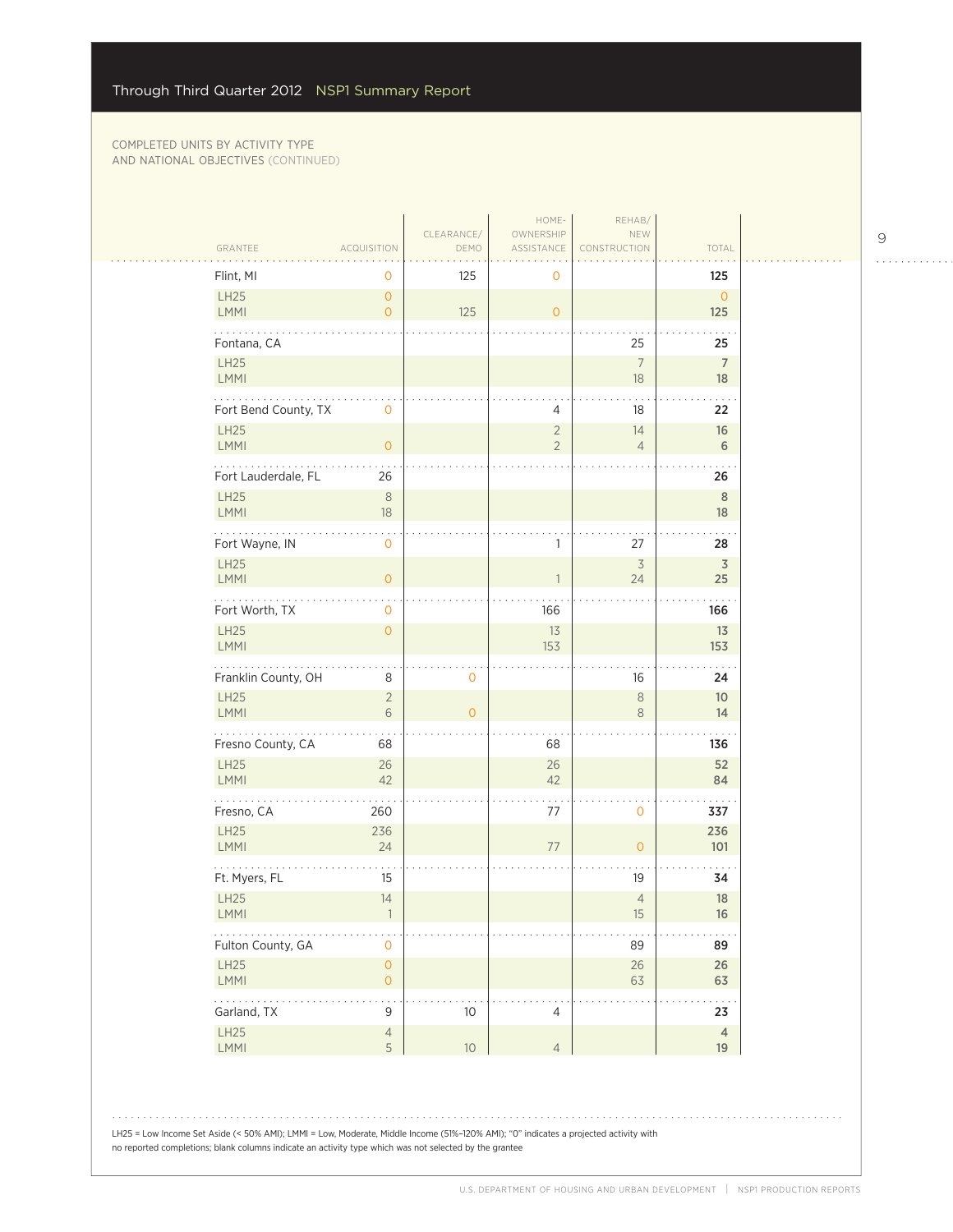|                                |                                            |                    | HOME-                            | REHAB/                         |                       |
|--------------------------------|--------------------------------------------|--------------------|----------------------------------|--------------------------------|-----------------------|
| GRANTEE                        | <b>ACQUISITION</b>                         | CLEARANCE/<br>DEMO | OWNERSHIP<br>ASSISTANCE          | NEW<br>CONSTRUCTION            | TOTAL                 |
| Flint, MI                      | $\mathbf 0$                                | 125                | 0                                |                                | 125                   |
| LH25<br>LMMI                   | $\circ$<br>$\circ$                         | 125                | $\overline{O}$                   |                                | $\overline{0}$<br>125 |
| Fontana, CA                    |                                            |                    |                                  | 25                             | 25                    |
| LH25<br>LMMI                   |                                            |                    |                                  | $\overline{7}$<br>18           | $\overline{7}$<br>18  |
| Fort Bend County, TX           | $\mathbf 0$                                |                    | 4                                | 18                             | 22                    |
| <b>LH25</b><br>LMMI            | $\mathsf{O}\xspace$                        |                    | $\overline{2}$<br>$\overline{2}$ | 14<br>$\overline{4}$           | $16\,$<br>6           |
| Fort Lauderdale, FL            | 26                                         |                    |                                  |                                | 26                    |
| <b>LH25</b><br>LMMI            | $\,8\,$<br>$18\,$                          |                    |                                  |                                | $\,$ 8<br>18          |
| Fort Wayne, IN                 | $\mathbf 0$                                |                    | 1                                | 27                             | 28                    |
| LH25<br><b>LMMI</b>            | $\overline{0}$                             |                    |                                  | $\overline{\mathcal{S}}$<br>24 | $\overline{3}$<br>25  |
| Fort Worth, TX                 | $\mathbf 0$                                |                    | 166                              |                                | 166                   |
| LH25<br>LMMI                   | $\circ$                                    |                    | 13<br>153                        |                                | 13<br>153             |
| Franklin County, OH            | 8                                          | 0                  |                                  | 16                             | 24                    |
| <b>LH25</b><br>LMMI            | $\overline{2}$<br>$\sqrt{6}$               | $\overline{O}$     |                                  | $\,8\,$<br>$\,8\,$             | 10 <sup>°</sup><br>14 |
| .<br>Fresno County, CA         | 68                                         |                    | 68                               |                                | 136                   |
| LH25<br>LMMI                   | 26<br>42                                   |                    | 26<br>42                         |                                | 52<br>84              |
| Fresno, CA                     | 260                                        |                    | 77                               | $\mathbf{O}$                   | 337                   |
| <b>LH25</b><br>LMMI            | 236<br>24                                  |                    | $77\,$                           | $\mathsf{O}\xspace$            | 236<br>101            |
| Ft. Myers, FL                  | 15                                         |                    |                                  | 19                             | 34                    |
| <b>LH25</b><br>LMMI            | 14                                         |                    |                                  | $\overline{4}$<br>15           | 18<br>16              |
| e e e e e<br>Fulton County, GA | $\mathsf{O}\xspace$                        |                    |                                  | 89                             | 89                    |
| LH25<br>LMMI                   | $\mathsf{O}\xspace$<br>$\mathsf{O}\xspace$ |                    |                                  | $26\,$<br>63                   | 26<br>63              |
| .<br>Garland, TX               | $\mathsf 9$                                | $10$               | 4                                |                                | $\ddotsc$<br>23       |
| LH25<br>LMMI                   | $\sqrt{4}$<br>5                            | $10$               | $\overline{4}$                   |                                | $\overline{4}$<br>19  |

LH25 = Low Income Set Aside (< 50% AMI); LMMI = Low, Moderate, Middle Income (51%–120% AMI); "0" indicates a projected activity with no reported completions; blank columns indicate an activity type which was not selected by the grantee

9

 $\begin{array}{cccccccccccccc} . & . & . & . & . & . & . & . & . & . & . & . & . \end{array}$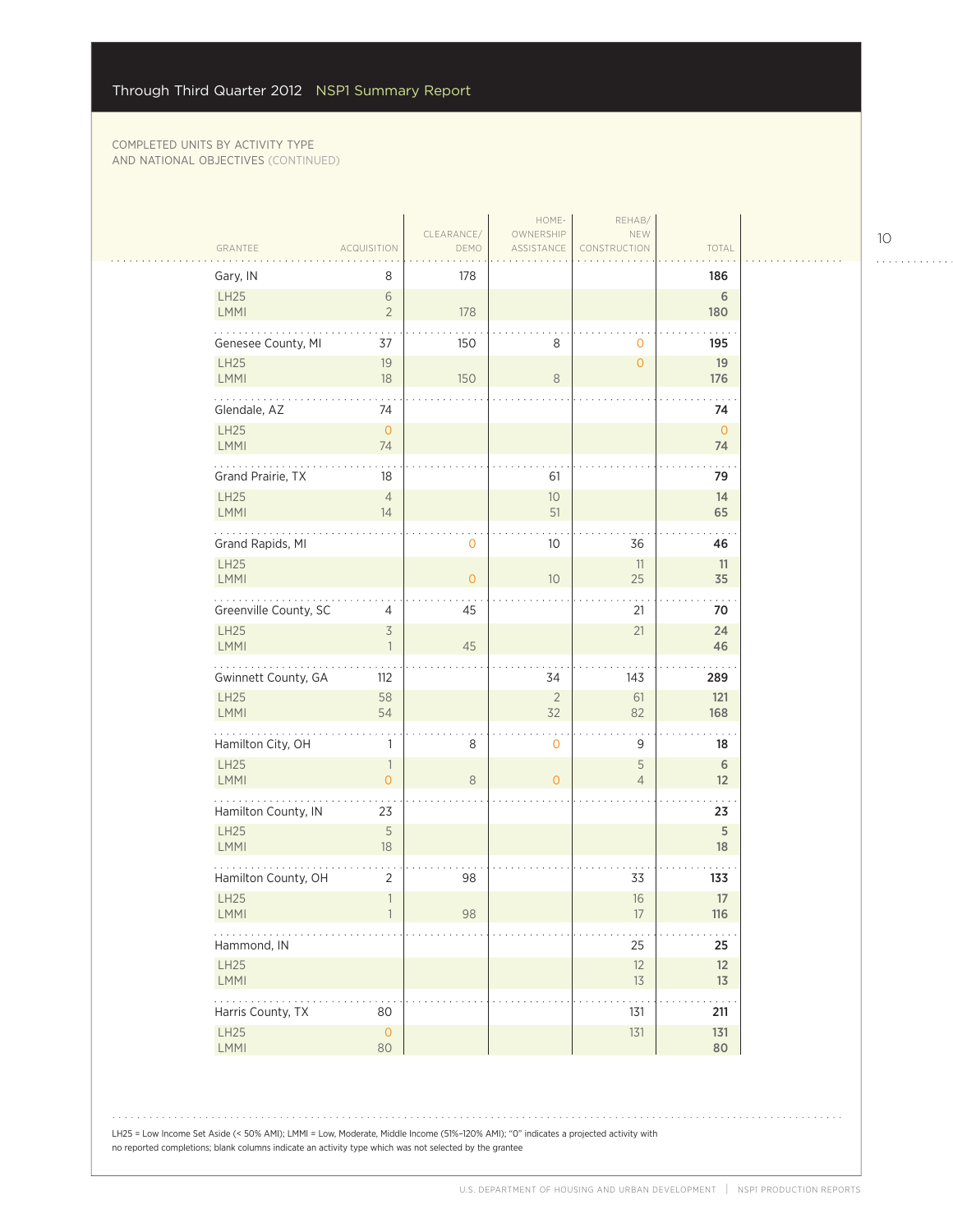|                           |                                          |                    | HOME-                   | REHAB/              |                   |
|---------------------------|------------------------------------------|--------------------|-------------------------|---------------------|-------------------|
| GRANTEE                   | <b>ACQUISITION</b>                       | CLEARANCE/<br>DEMO | OWNERSHIP<br>ASSISTANCE | NEW<br>CONSTRUCTION | TOTAL             |
| Gary, IN                  | 8                                        | 178                |                         |                     | 186               |
| LH25<br>LMMI              | $\sqrt{6}$<br>$\overline{2}$             | 178                |                         |                     | $\sqrt{6}$<br>180 |
| Genesee County, MI        | 37                                       | 150                | 8                       | 0                   | 195               |
| LH25<br><b>LMMI</b>       | 19<br>18                                 | 150                | 8                       | $\overline{O}$      | 19<br>176         |
| .<br>Glendale, AZ         | 74                                       |                    |                         |                     | 74                |
| LH25<br>LMMI              | $\mathsf{O}\xspace$<br>74                |                    |                         |                     | $\circ$<br>74     |
| Grand Prairie, TX         | 18                                       |                    | 61                      |                     | 79                |
| LH25<br><b>LMMI</b>       | $\overline{4}$<br>14                     |                    | $10\,$<br>51            |                     | 14<br>65          |
| Grand Rapids, MI          |                                          | 0                  | 10 <sup>°</sup>         | 36                  | 46                |
| LH25<br>LMMI              |                                          | $\overline{O}$     | $10$                    | 11<br>25            | 11<br>35          |
| Greenville County, SC     | 4                                        | 45                 |                         | 21                  | 70                |
| LH25<br><b>LMMI</b>       | $\overline{\mathcal{S}}$                 | 45                 |                         | 21                  | 24<br>46          |
| Gwinnett County, GA       | 112                                      |                    | 34                      | 143                 | 289               |
| LH25<br><b>LMMI</b>       | 58<br>54                                 |                    | $\sqrt{2}$<br>32        | 61<br>82            | 121<br>168        |
| Hamilton City, OH         | $\mathbf{1}$                             | 8                  | $\mathbf 0$             | 9                   | 18                |
| LH25<br>LMMI              | $\mathbb{1}$<br>$\mathsf{O}\xspace$      | 8                  | $\overline{0}$          | 5<br>$\overline{4}$ | 6<br>12           |
| Hamilton County, IN       | 23                                       |                    |                         |                     | 23                |
| LH25<br><b>LMMI</b>       | $\mathsf S$<br>18                        |                    |                         |                     | 5<br>18           |
| Hamilton County, OH       | $\overline{2}$                           | 98                 |                         | 33                  | 133               |
| LH25<br>$\mathsf{LMMI}$   | $\overline{\phantom{a}}$<br>$\mathbf{I}$ | 98                 |                         | 16<br>$17\,$        | $17\,$<br>116     |
| Hammond, IN               |                                          |                    |                         | 25                  | 25                |
| LH25<br>LMMI              |                                          |                    |                         | 12<br>$13\,$        | 12<br>13          |
|                           | 80                                       |                    |                         | 131                 | 211<br>131        |
| Harris County, TX<br>LH25 | $\mathsf O$                              |                    |                         | $131\,$             |                   |

LH25 = Low Income Set Aside (< 50% AMI); LMMI = Low, Moderate, Middle Income (51%–120% AMI); "0" indicates a projected activity with no reported completions; blank columns indicate an activity type which was not selected by the grantee

10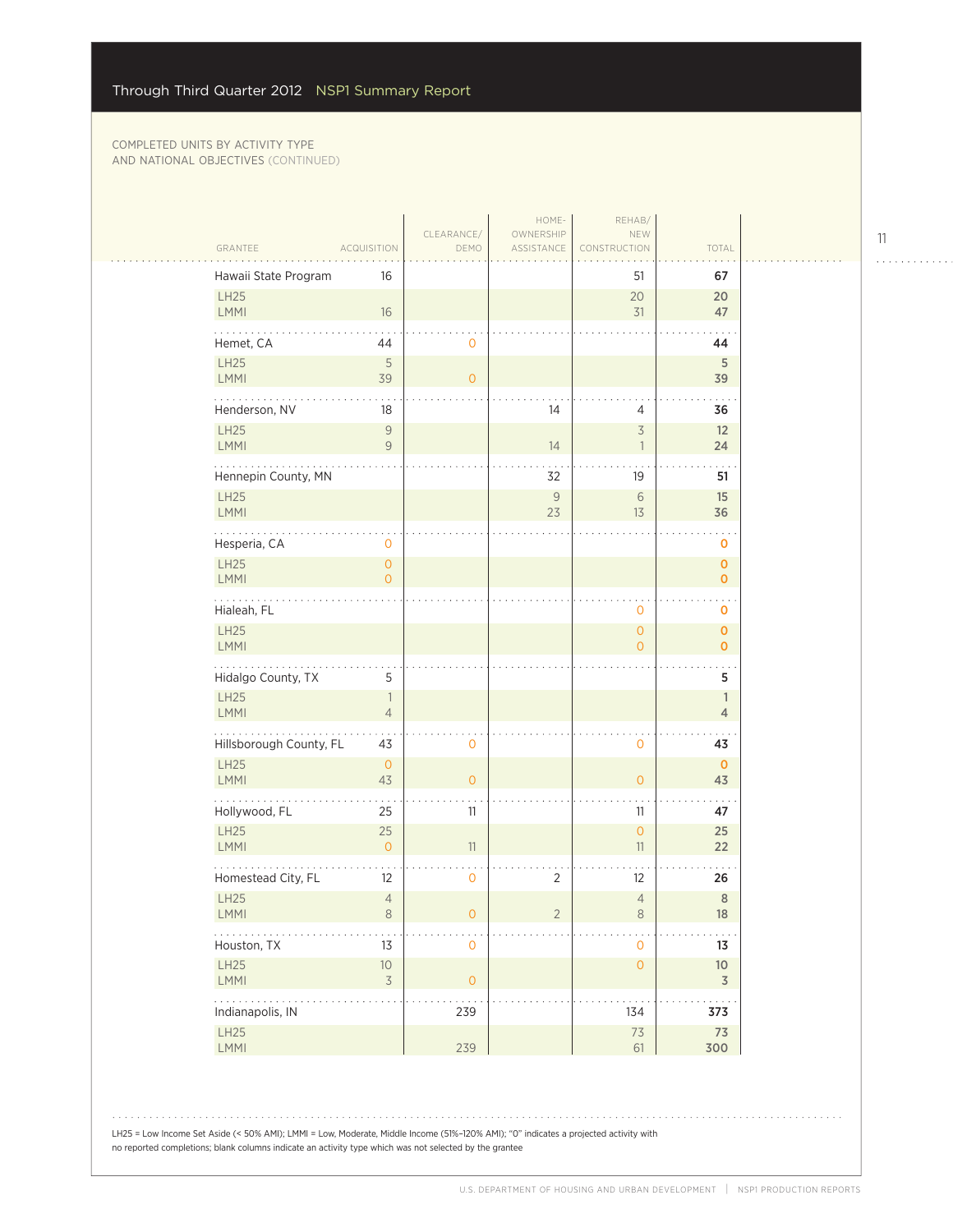$\sim$  .

|                              |                                                                           |                     | HOME-                   | REHAB/                                     |                                 |  |
|------------------------------|---------------------------------------------------------------------------|---------------------|-------------------------|--------------------------------------------|---------------------------------|--|
| GRANTEE                      | <b>ACQUISITION</b>                                                        | CLEARANCE/<br>DEMO  | OWNERSHIP<br>ASSISTANCE | NEW<br>CONSTRUCTION                        | TOTAL                           |  |
| Hawaii State Program         | 16                                                                        |                     |                         | 51                                         | 67                              |  |
| LH25<br>LMMI                 | 16                                                                        |                     |                         | 20<br>31                                   | 20<br>47                        |  |
| Hemet, CA                    | 44                                                                        | 0                   |                         |                                            | 44                              |  |
| LH25<br><b>LMMI</b>          | $\sqrt{5}$<br>39                                                          | $\overline{O}$      |                         |                                            | 5<br>39                         |  |
| Henderson, NV                | 18                                                                        |                     | 14                      | 4                                          | 36                              |  |
| LH25<br><b>LMMI</b>          | $\mathcal{G}% _{M_{1},M_{2}}^{\alpha,\beta}(\varepsilon)$<br>$\mathcal G$ |                     | 14                      | $\overline{3}$<br>$\overline{\phantom{a}}$ | 12<br>24                        |  |
| Hennepin County, MN          |                                                                           |                     | 32                      | 19                                         | 51                              |  |
| LH25<br>LMMI                 |                                                                           |                     | $\mathcal{G}$<br>23     | 6<br>13                                    | 15<br>36                        |  |
| Hesperia, CA                 | 0                                                                         |                     |                         |                                            | 0                               |  |
| <b>LH25</b><br><b>LMMI</b>   | $\overline{O}$<br>$\Omega$                                                |                     |                         |                                            | $\mathbf 0$<br>$\mathbf 0$      |  |
| Hialeah, FL                  |                                                                           |                     |                         | 0                                          | 0                               |  |
| LH25<br><b>LMMI</b>          |                                                                           |                     |                         | $\overline{O}$<br>$\overline{0}$           | $\pmb{0}$<br>$\mathbf{0}$       |  |
| Hidalgo County, TX           | 5                                                                         |                     |                         |                                            | 5                               |  |
| <b>LH25</b><br>LMMI          | 1<br>$\overline{4}$                                                       |                     |                         |                                            | $\mathbf{1}$<br>4               |  |
| .<br>Hillsborough County, FL | 43                                                                        | 0                   |                         | 0                                          | 43                              |  |
| LH25<br>LMMI                 | $\overline{O}$<br>43                                                      | $\overline{O}$      |                         | $\overline{O}$                             | $\mathbf 0$<br>43               |  |
| Hollywood, FL                | 25                                                                        | 11                  |                         | 11                                         | 47                              |  |
| LH25<br><b>LMMI</b>          | 25<br>$\overline{O}$                                                      | 11                  |                         | $\overline{0}$<br>11                       | 25<br>22                        |  |
| Homestead City, FL           | 12                                                                        | $\mathbf 0$         | $\sqrt{2}$              | 12                                         | 26                              |  |
| LH25<br><b>LMMI</b>          | $\sqrt{4}$<br>8                                                           | 0                   | 2                       | $\overline{4}$<br>8                        | $\,8\,$<br>18                   |  |
| Houston, TX                  | 13                                                                        | $\mathsf{O}\xspace$ |                         | 0                                          | 13                              |  |
| LH25<br>LMMI                 | $10$<br>$\overline{\mathcal{S}}$                                          | $\mathsf{O}\xspace$ |                         | $\mathsf{O}\xspace$                        | $10$<br>$\overline{\mathsf{3}}$ |  |
| Indianapolis, IN             |                                                                           | 239                 |                         | 134                                        | 373                             |  |
| LH25<br>LMMI                 |                                                                           | 239                 |                         | $7\sqrt{3}$<br>61                          | $7\overline{3}$<br>300          |  |
|                              |                                                                           |                     |                         |                                            |                                 |  |

LH25 = Low Income Set Aside (< 50% AMI); LMMI = Low, Moderate, Middle Income (51%–120% AMI); "0" indicates a projected activity with no reported completions; blank columns indicate an activity type which was not selected by the grantee

11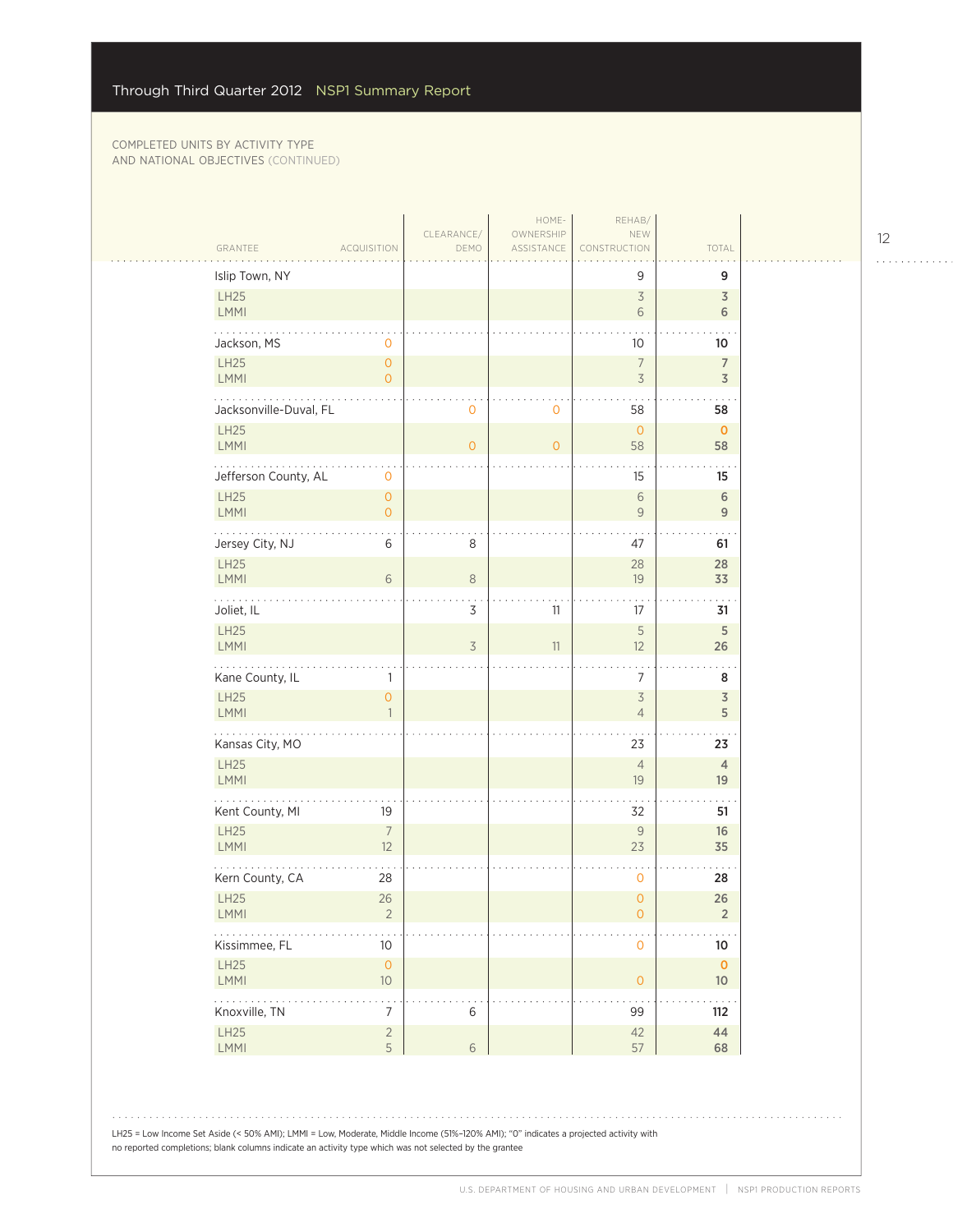$\sim$  .

| Islip Town, NY<br>9<br>LH25<br>$\overline{3}$                                                   |                                  |
|-------------------------------------------------------------------------------------------------|----------------------------------|
|                                                                                                 | 9                                |
| LMMI<br>6                                                                                       | 3<br>6                           |
| Jackson, MS<br>0<br>10                                                                          | 10                               |
| LH25<br>$\overline{0}$<br>$\overline{7}$<br>LMMI<br>$\overline{O}$<br>$\overline{3}$            | $\overline{7}$<br>$\overline{3}$ |
| Jacksonville-Duval, FL<br>$\overline{O}$<br>0<br>58                                             | 58                               |
| <b>LH25</b><br>$\overline{0}$<br><b>LMMI</b><br>$\overline{0}$<br>$\overline{O}$<br>58          | $\mathbf 0$<br>58                |
| Jefferson County, AL<br>$\mathsf{O}\xspace$<br>15                                               | 15                               |
| <b>LH25</b><br>$\mathsf{O}\xspace$<br>6<br>LMMI<br>$\overline{O}$<br>9                          | $6\,$<br>9                       |
| Jersey City, NJ<br>6<br>8<br>47                                                                 | 61                               |
| <b>LH25</b><br>28<br>LMMI<br>6<br>$\,8\,$<br>19                                                 | 28<br>33                         |
| .<br>Joliet, IL<br>11<br>3<br>17                                                                | 31                               |
| $\mathsf S$<br>LH25<br>$\overline{3}$<br><b>LMMI</b><br>11<br>12                                | 5<br>26                          |
| Kane County, IL<br>7<br>1                                                                       | 8                                |
| <b>LH25</b><br>$\mathsf 3$<br>$\overline{O}$<br><b>LMMI</b><br>$\overline{4}$<br>$\overline{1}$ | $\overline{3}$<br>5              |
| .<br>Kansas City, MO<br>23                                                                      | 23                               |
| LH25<br>$\overline{4}$<br><b>LMMI</b><br>19                                                     | $\overline{4}$<br>19             |
| Kent County, MI<br>19<br>32                                                                     | 51                               |
| LH25<br>$\overline{7}$<br>9<br><b>LMMI</b><br>12<br>23                                          | 16<br>35                         |
| Kern County, CA<br>28<br>$\mathbf 0$                                                            | 28                               |
| <b>LH25</b><br>26<br>$\overline{0}$<br>LMMI<br>$\sqrt{2}$<br>$\mathsf{O}\xspace$                | 26<br>$\overline{2}$             |
| .<br>Kissimmee, FL<br>10 <sup>°</sup><br>$\mathsf{O}\xspace$                                    | $10\,$                           |
| LH25<br>$\mathsf{O}\xspace$<br>LMMI<br>$10$<br>$\mathsf{O}\xspace$                              | $\mathbf 0$<br>$10\,$            |
| a a shekara<br>$\ddot{\phantom{0}}$<br>Knoxville, TN<br>$\overline{7}$<br>$\,$ 6 $\,$<br>99     | $\sim$ $\sim$ $\sim$<br>112      |
| LH25<br>$\overline{2}$<br>42<br>LMMI<br>5<br>$\sqrt{6}$<br>57                                   | 44<br>68                         |

LH25 = Low Income Set Aside (< 50% AMI); LMMI = Low, Moderate, Middle Income (51%–120% AMI); "0" indicates a projected activity with no reported completions; blank columns indicate an activity type which was not selected by the grantee

12

. . . . . . . . . . . .

. . . . . . . . . . . .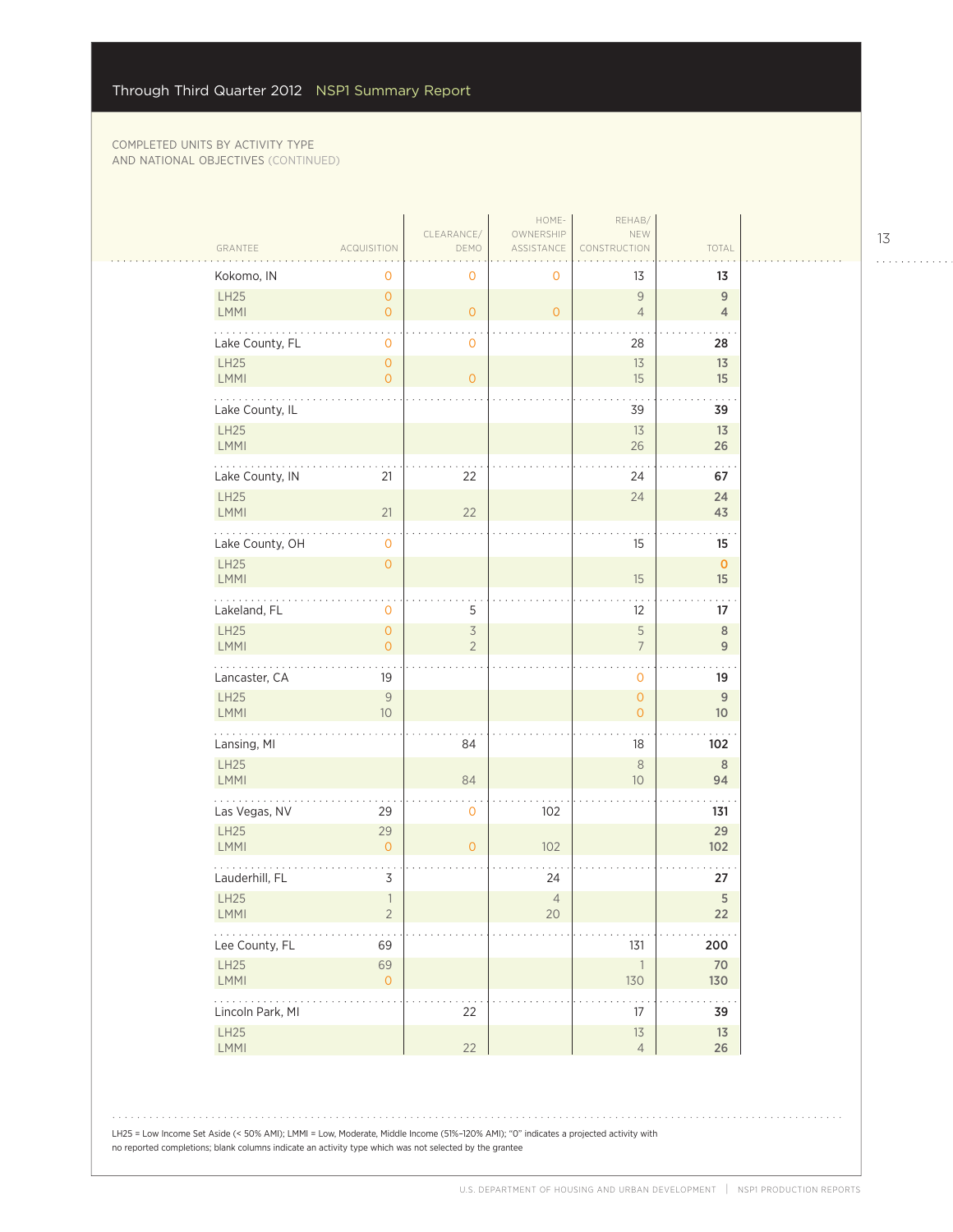$\sim$  .

|                               |                                  |                                            | HOME-                    | REHAB/                           |                                |  |
|-------------------------------|----------------------------------|--------------------------------------------|--------------------------|----------------------------------|--------------------------------|--|
| GRANTEE                       | <b>ACQUISITION</b>               | CLEARANCE/<br>DEMO                         | OWNERSHIP<br>ASSISTANCE  | NEW<br><b>NSTRUCTION</b>         | TOTAL                          |  |
| Kokomo, IN                    | 0                                | 0                                          | 0                        | 13                               | 13                             |  |
| LH25<br><b>LMMI</b>           | $\overline{O}$<br>$\overline{O}$ | $\mathsf{O}\xspace$                        | $\overline{0}$           | $\overline{9}$<br>$\overline{4}$ | $9$<br>$\overline{4}$          |  |
| Lake County, FL               | 0                                | 0                                          |                          | 28                               | 28                             |  |
| LH25<br><b>LMMI</b>           | $\overline{O}$<br>$\overline{O}$ | $\overline{O}$                             |                          | 13<br>15                         | 13<br>15                       |  |
| Lake County, IL               |                                  |                                            |                          | 39                               | 39                             |  |
| LH25<br><b>LMMI</b>           |                                  |                                            |                          | 13<br>26                         | 13<br>26                       |  |
| Lake County, IN               | 21                               | 22                                         |                          | 24                               | 67                             |  |
| LH25<br>LMMI                  | 21                               | 22                                         |                          | 24                               | 24<br>43                       |  |
| Lake County, OH               | $\mathbf 0$                      |                                            |                          | 15                               | 15                             |  |
| LH25<br>LMMI                  | $\mathsf{O}\xspace$              |                                            |                          | 15                               | $\mathbf 0$<br>15              |  |
| .<br>Lakeland, FL             | 0                                | 5                                          |                          | 12                               | 17                             |  |
| LH25<br>LMMI                  | $\mathbf{O}$<br>$\overline{O}$   | $\overline{\mathcal{S}}$<br>$\overline{2}$ |                          | 5<br>$\overline{7}$              | $\mathbf{8}$<br>$\overline{9}$ |  |
| Lancaster, CA                 | 19                               |                                            |                          | $\mathbf 0$                      | 19                             |  |
| LH25<br>LMMI                  | $\mathcal G$<br>10 <sup>°</sup>  |                                            |                          | $\overline{0}$<br>$\overline{0}$ | $9$<br>10 <sup>°</sup>         |  |
| .<br>Lansing, MI              |                                  | 84                                         |                          | 18                               | 102                            |  |
| LH25<br><b>LMMI</b>           |                                  | 84                                         |                          | $\,8\,$<br>10                    | 8<br>94                        |  |
| Las Vegas, NV                 | 29                               | 0                                          | 102                      |                                  | 131                            |  |
| <b>LH25</b><br><b>LMMI</b>    | 29<br>$\overline{O}$             | $\overline{O}$                             | 102                      |                                  | 29<br>102                      |  |
| Lauderhill, FL                | 3                                |                                            | 24                       |                                  | 27                             |  |
| LH25<br>LMMI                  | $\mathbb{1}$<br>$\overline{2}$   |                                            | $\overline{4}$<br>$20\,$ |                                  | 5<br>22                        |  |
| .<br>Lee County, FL           | 69                               |                                            |                          | 131                              | 200                            |  |
| LH25<br>LMMI                  | 69<br>$\overline{O}$             |                                            |                          | $\overline{1}$<br>130            | 70<br>130                      |  |
| 1.1.1.1.1<br>Lincoln Park, MI |                                  | 22                                         |                          | $17\,$                           | 39                             |  |
| LH25<br>LMMI                  |                                  | 22                                         |                          | $13$<br>$\overline{4}$           | 13<br>26                       |  |
|                               |                                  |                                            |                          |                                  |                                |  |

LH25 = Low Income Set Aside (< 50% AMI); LMMI = Low, Moderate, Middle Income (51%–120% AMI); "0" indicates a projected activity with no reported completions; blank columns indicate an activity type which was not selected by the grantee

13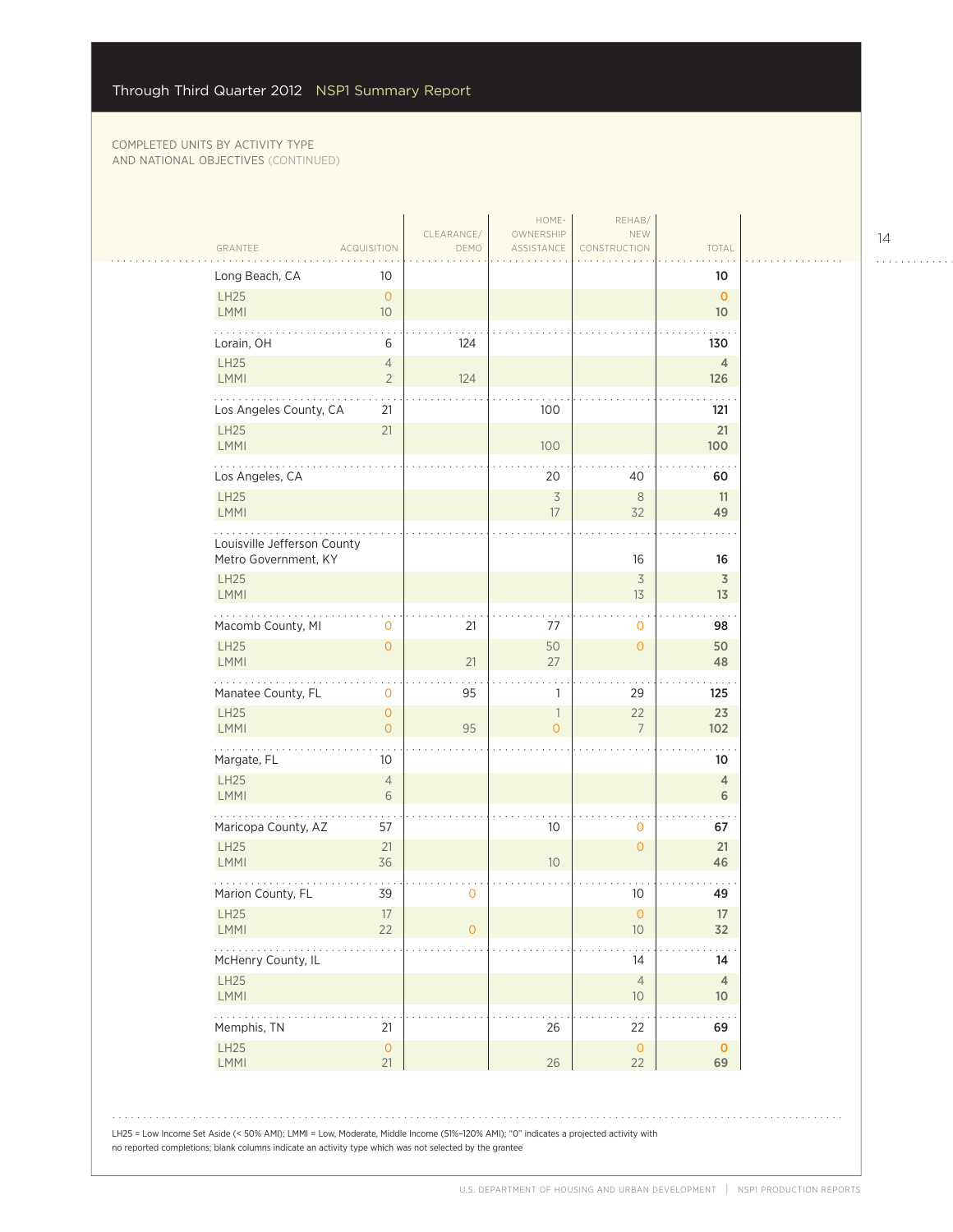|                                                                                                                                                                                                                                                                                                                                                          | CLEARANCE/     | HOME-<br>OWNERSHIP                         | REHAB/<br>NEW        |                      |
|----------------------------------------------------------------------------------------------------------------------------------------------------------------------------------------------------------------------------------------------------------------------------------------------------------------------------------------------------------|----------------|--------------------------------------------|----------------------|----------------------|
| GRANTEE<br><b>ACQUISITION</b>                                                                                                                                                                                                                                                                                                                            | DEMO           | ASSISTANCE                                 | CONSTRUCTION         | TOTAL                |
| Long Beach, CA<br>10<br>LH25<br>$\overline{0}$                                                                                                                                                                                                                                                                                                           |                |                                            |                      | 10<br>$\mathbf{O}$   |
| LMMI<br>10                                                                                                                                                                                                                                                                                                                                               |                |                                            |                      | 10 <sup>°</sup>      |
| Lorain, OH<br>6                                                                                                                                                                                                                                                                                                                                          | 124            |                                            |                      | 130                  |
| LH25<br>$\overline{4}$                                                                                                                                                                                                                                                                                                                                   |                |                                            |                      | $\overline{4}$       |
| <b>LMMI</b><br>$\overline{2}$<br>.                                                                                                                                                                                                                                                                                                                       | 124            |                                            |                      | 126                  |
| Los Angeles County, CA<br>21<br>LH25<br>21                                                                                                                                                                                                                                                                                                               |                | 100                                        |                      | 121<br>21            |
| LMMI                                                                                                                                                                                                                                                                                                                                                     |                | 100                                        |                      | 100                  |
| Los Angeles, CA                                                                                                                                                                                                                                                                                                                                          |                | 20                                         | 40                   | 60                   |
| LH25<br><b>LMMI</b>                                                                                                                                                                                                                                                                                                                                      |                | $\overline{\mathcal{S}}$<br>17             | 8<br>32              | 11<br>49             |
| Louisville Jefferson County                                                                                                                                                                                                                                                                                                                              |                |                                            |                      |                      |
| Metro Government, KY                                                                                                                                                                                                                                                                                                                                     |                |                                            | 16                   | 16                   |
| <b>LH25</b><br><b>LMMI</b>                                                                                                                                                                                                                                                                                                                               |                |                                            | $\overline{3}$<br>13 | $\overline{3}$<br>13 |
| Macomb County, MI<br>0                                                                                                                                                                                                                                                                                                                                   | 21             | 77                                         | 0                    | 98                   |
| <b>LH25</b><br>$\circ$                                                                                                                                                                                                                                                                                                                                   |                | 50                                         | $\overline{0}$       | 50                   |
| <b>LMMI</b>                                                                                                                                                                                                                                                                                                                                              | 21             | 27                                         |                      | 48                   |
| Manatee County, FL<br>$\mathbf 0$                                                                                                                                                                                                                                                                                                                        | 95             | 1                                          | 29                   | 125                  |
| LH25<br>$\circ$<br><b>LMMI</b><br>$\overline{O}$                                                                                                                                                                                                                                                                                                         | 95             | $\overline{\phantom{a}}$<br>$\overline{O}$ | 22<br>$\overline{7}$ | 23<br>102            |
| .<br>Margate, FL<br>10                                                                                                                                                                                                                                                                                                                                   |                |                                            |                      | 10                   |
| LH25<br>$\overline{4}$                                                                                                                                                                                                                                                                                                                                   |                |                                            |                      | $\overline{4}$       |
| LMMI<br>6                                                                                                                                                                                                                                                                                                                                                |                |                                            |                      | 6                    |
| Maricopa County, AZ<br>57                                                                                                                                                                                                                                                                                                                                |                | 10                                         | 0                    | 67                   |
| LH25<br>21<br><b>LMMI</b><br>36                                                                                                                                                                                                                                                                                                                          |                | 10 <sup>°</sup>                            | $\overline{O}$       | 21<br>46             |
| Marion County, FL<br>39                                                                                                                                                                                                                                                                                                                                  | 0              |                                            | 10                   | 49                   |
| <b>LH25</b><br>17<br>22<br><b>LMMI</b>                                                                                                                                                                                                                                                                                                                   | $\overline{0}$ |                                            | $\circ$<br>10        | 17<br>32             |
| $\frac{1}{2} \left( \begin{array}{ccc} 1 & 0 & 0 & 0 & 0 \\ 0 & 0 & 0 & 0 & 0 \\ 0 & 0 & 0 & 0 & 0 \\ 0 & 0 & 0 & 0 & 0 \\ 0 & 0 & 0 & 0 & 0 \\ 0 & 0 & 0 & 0 & 0 \\ 0 & 0 & 0 & 0 & 0 \\ 0 & 0 & 0 & 0 & 0 \\ 0 & 0 & 0 & 0 & 0 \\ 0 & 0 & 0 & 0 & 0 \\ 0 & 0 & 0 & 0 & 0 \\ 0 & 0 & 0 & 0 & 0 \\ 0 & 0 & 0 & 0 & 0 \\ 0 & 0 & 0$<br>McHenry County, IL |                |                                            | 14                   | 14                   |
| LH25                                                                                                                                                                                                                                                                                                                                                     |                |                                            | $\overline{4}$       | $\overline{4}$       |
| <b>LMMI</b>                                                                                                                                                                                                                                                                                                                                              |                |                                            | 10                   | 10 <sup>°</sup>      |
| Memphis, TN<br>21                                                                                                                                                                                                                                                                                                                                        |                | 26                                         | 22                   | 69                   |
| LH25<br>$\mathsf{O}\xspace$<br>LMMI<br>21                                                                                                                                                                                                                                                                                                                |                | 26                                         | $\circ$<br>22        | $\mathbf 0$<br>69    |
| LH25 = Low Income Set Aside (< 50% AMI); LMMI = Low, Moderate, Middle Income (51%-120% AMI); "0" indicates a projected activity with                                                                                                                                                                                                                     |                |                                            |                      |                      |

14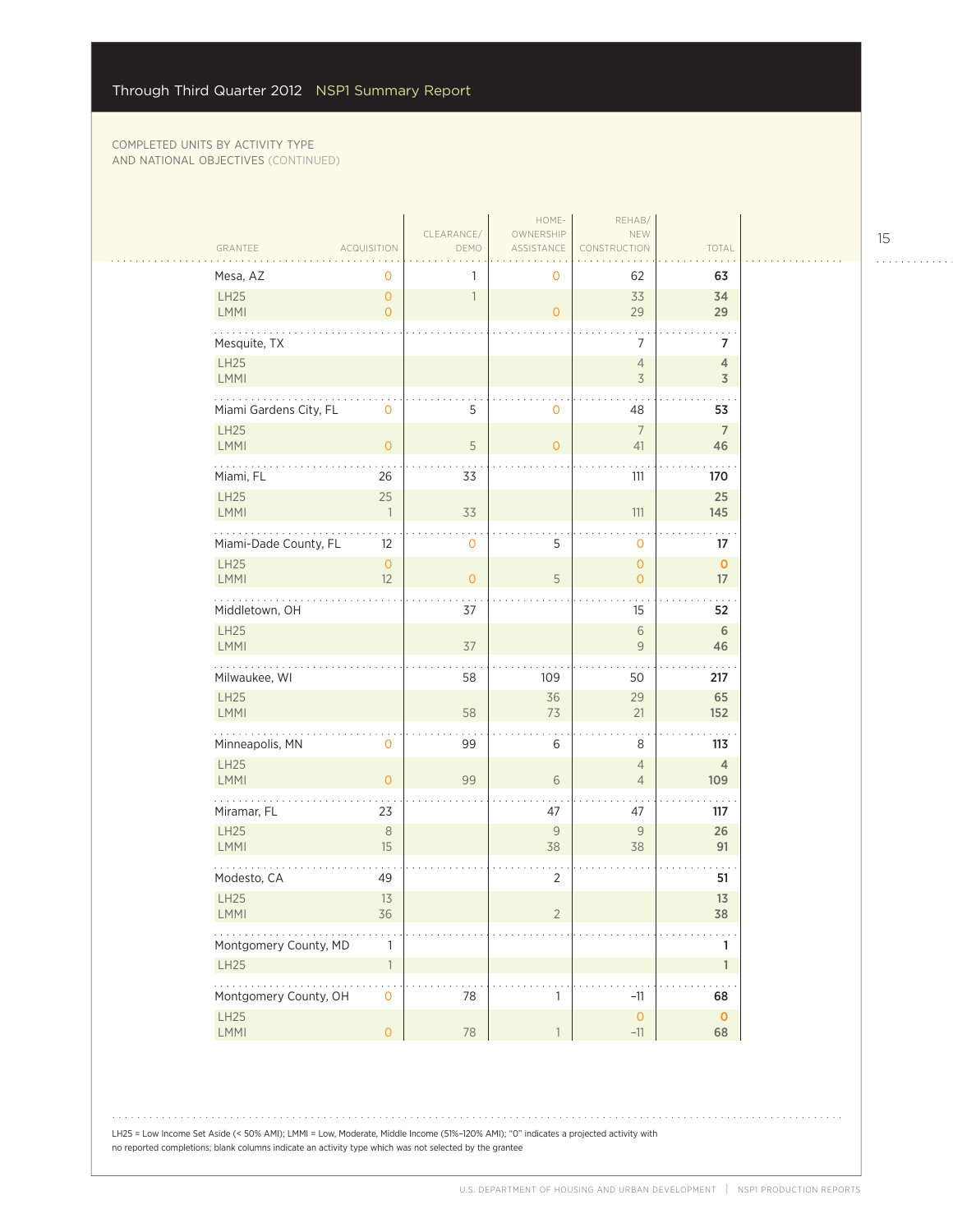| GRANTEE                | <b>ACQUISITION</b>               | CLEARANCE/<br>DEMO | HOME-<br>OWNERSHIP<br>ASSISTANCE | REHAB/<br>NEW<br>CONSTRUCTION    | TOTAL                 |  |
|------------------------|----------------------------------|--------------------|----------------------------------|----------------------------------|-----------------------|--|
| Mesa, AZ               | 0                                | 1                  | 0                                | 62                               | 63                    |  |
| LH25<br>LMMI           | $\overline{O}$<br>$\overline{0}$ | $\overline{1}$     | $\overline{0}$                   | 33<br>29                         | 34<br>29              |  |
| Mesquite, TX           |                                  |                    |                                  | 7                                | 7                     |  |
| LH25<br>LMMI           |                                  |                    |                                  | $\overline{4}$<br>3              | 4<br>$\overline{3}$   |  |
| Miami Gardens City, FL | $\mathbf{O}$                     | 5                  | 0                                | 48                               | 53                    |  |
| LH25<br>LMMI           | $\overline{0}$                   | 5                  | $\overline{0}$                   | $\overline{7}$<br>41             | $\overline{7}$<br>46  |  |
| Miami, FL              | 26                               | 33                 |                                  | 111                              | 170                   |  |
| LH25<br>LMMI           | 25<br>$\overline{1}$             | 33                 |                                  | 111                              | 25<br>145             |  |
| Miami-Dade County, FL  | 12                               | $\mathbf 0$        | 5                                | $\mathbf 0$                      | 17                    |  |
| <b>LH25</b><br>LMMI    | $\circ$<br>12                    | $\mathbf{O}$       | 5                                | $\mathbf{O}$<br>$\mathbf{O}$     | $\mathbf 0$<br>17     |  |
| .<br>Middletown, OH    |                                  | 37                 |                                  | 15                               | 52                    |  |
| LH25<br>LMMI           |                                  | 37                 |                                  | $\sqrt{6}$<br>9                  | $\sqrt{6}$<br>46      |  |
| Milwaukee, WI          |                                  | 58                 | 109                              | 50                               | 217                   |  |
| LH25<br>LMMI           |                                  | 58                 | 36<br>73                         | 29<br>21                         | 65<br>152             |  |
| .<br>Minneapolis, MN   | $\mathbf{0}$                     | 99                 | 6                                | 8                                | 113                   |  |
| LH25<br><b>LMMI</b>    | $\overline{0}$                   | 99                 | $\sqrt{6}$                       | $\overline{4}$<br>$\overline{4}$ | $\overline{4}$<br>109 |  |
| Miramar, FL            | 23                               |                    | 47                               | 47                               | 117                   |  |
| LH25<br><b>LMMI</b>    | $\,8\,$<br>15                    |                    | $\mathcal G$<br>38               | 9<br>38                          | 26<br>91              |  |
| Modesto, CA            | 49                               |                    | $\sqrt{2}$                       |                                  | 51                    |  |
| LH25<br><b>LMMI</b>    | 13<br>36                         |                    | 2                                |                                  | 13<br>38              |  |
| Montgomery County, MD  | $\mathbf{1}$                     |                    |                                  |                                  | 1                     |  |
| LH25<br>.              | $\ensuremath{\mathbb{1}}$        |                    |                                  |                                  | 1                     |  |
| Montgomery County, OH  | $\mathsf{O}$                     | 78                 | $\mathbf{1}$                     | $-11$                            | 68                    |  |
| <b>LH25</b><br>LMMI    | $\overline{O}$                   | 78                 | $\mathbf{1}$                     | $\mathsf{O}\xspace$<br>$-11$     | $\mathbf 0$<br>68     |  |

LH25 = Low Income Set Aside (< 50% AMI); LMMI = Low, Moderate, Middle Income (51%–120% AMI); "0" indicates a projected activity with no reported completions; blank columns indicate an activity type which was not selected by the grantee

15

. . . . . . . . . . . .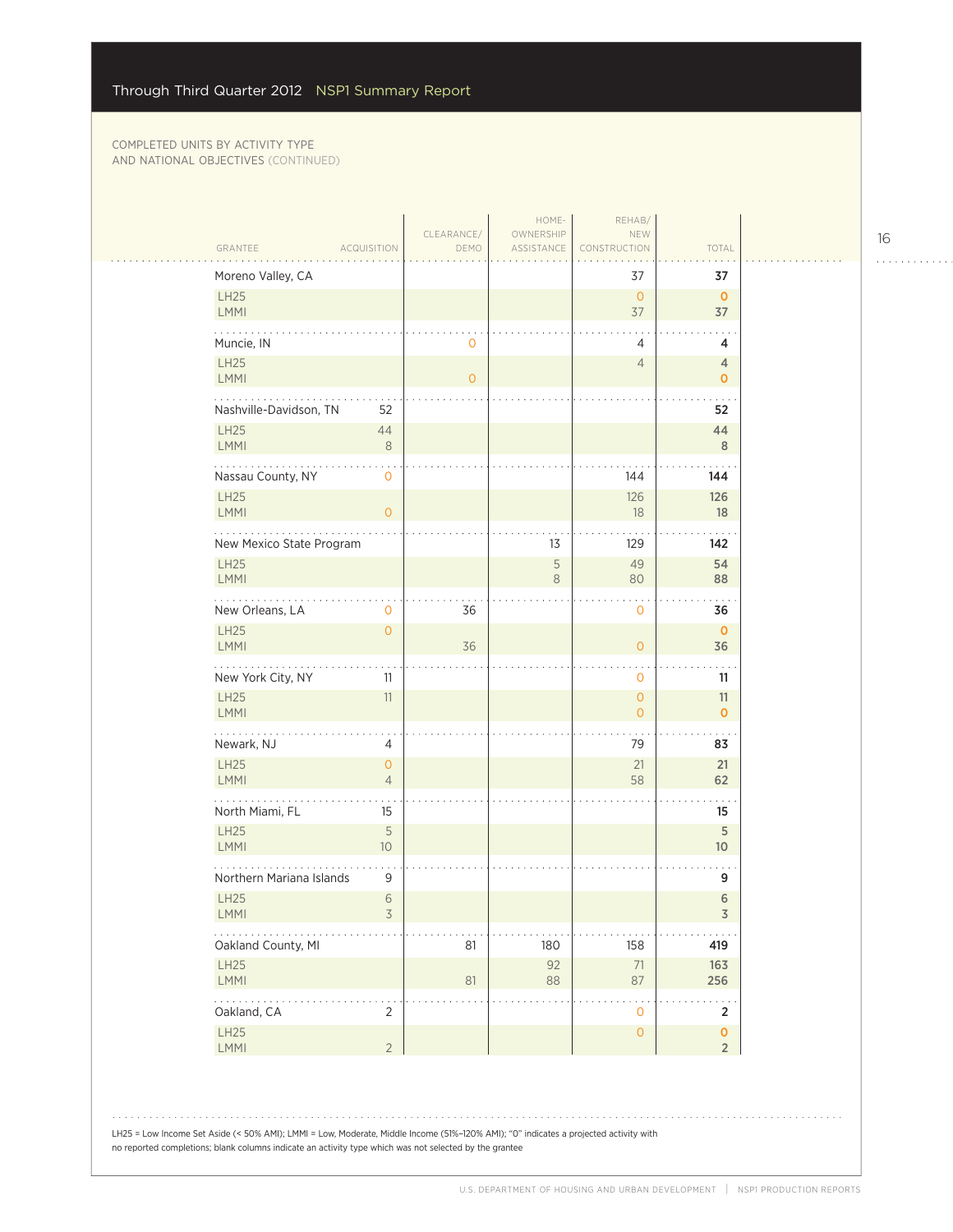$\mathcal{L}_{\mathcal{A}}$ 

|                                                                        |                               |                    | HOME-                   | REHAB/                         |                                        |
|------------------------------------------------------------------------|-------------------------------|--------------------|-------------------------|--------------------------------|----------------------------------------|
| GRANTEE                                                                | <b>ACQUISITION</b>            | CLEARANCE/<br>DEMO | OWNERSHIP<br>ASSISTANCE | NEW<br>CONSTRUCTION            | TOTAL                                  |
| Moreno Valley, CA                                                      |                               |                    |                         | 37                             | 37                                     |
| LH25<br>LMMI                                                           |                               |                    |                         | $\overline{O}$<br>37           | $\mathbf 0$<br>37                      |
| Muncie, IN                                                             |                               | $\mathbf{0}$       |                         | 4                              | 4                                      |
| LH25<br><b>LMMI</b>                                                    |                               | $\overline{O}$     |                         | $\overline{4}$                 | 4<br>$\mathbf{O}$                      |
| Nashville-Davidson, TN                                                 | 52                            |                    |                         |                                | 52                                     |
| <b>LH25</b><br>LMMI                                                    | 44<br>$\,8\,$                 |                    |                         |                                | 44<br>8                                |
| Nassau County, NY                                                      | 0                             |                    |                         | 144                            | 144                                    |
| <b>LH25</b><br>LMMI                                                    | $\circ$                       |                    |                         | 126<br>18                      | 126<br>18                              |
| New Mexico State Program                                               |                               |                    | 13                      | 129                            | 142                                    |
| LH25<br>LMMI                                                           |                               |                    | 5<br>8                  | 49<br>80                       | 54<br>88                               |
| للمتمازي<br>New Orleans, LA                                            | $\mathbf{O}$                  | 36                 |                         | $\mathbf 0$                    | 36                                     |
| <b>LH25</b><br>LMMI                                                    | $\overline{0}$                | 36                 |                         | $\overline{O}$                 | $\mathbf 0$<br>36                      |
| New York City, NY                                                      | 11                            |                    |                         | $\mathbf{0}$                   | 11                                     |
| LH25<br>LMMI                                                           | 11                            |                    |                         | $\mathbf{O}$<br>$\overline{0}$ | 11<br>$\mathbf 0$                      |
| .<br>Newark, NJ                                                        | 4                             |                    |                         | 79                             | 83                                     |
| LH25<br>LMMI                                                           | $\circ$<br>$\overline{4}$     |                    |                         | 21<br>58                       | 21<br>62                               |
| North Miami, FL                                                        | 15                            |                    |                         |                                | 15                                     |
| <b>LH25</b><br>LMMI                                                    | $\sqrt{5}$<br>10 <sup>°</sup> |                    |                         |                                | 5<br>10 <sup>°</sup>                   |
| Northern Mariana Islands                                               | 9                             |                    |                         |                                | 9                                      |
| LH25<br>LMMI                                                           | 6<br>3                        |                    |                         |                                | $6\,$<br>3                             |
| $\mathbb{Z}^2$ , $\mathbb{Z}^2$ , $\mathbb{Z}^2$<br>Oakland County, MI |                               | 81                 | 180                     | 158                            | 419                                    |
| LH25<br>LMMI                                                           |                               | 81                 | 92<br>88                | $71\,$<br>87                   | 163<br>256                             |
| .<br>Oakland, CA                                                       | 2                             |                    |                         | $\mathsf{O}\xspace$            | $\ddot{\phantom{0}}$<br>$\overline{2}$ |
| LH25<br>LMMI                                                           | $\overline{2}$                |                    |                         | $\mathsf{O}\xspace$            | $\pmb{\mathsf{O}}$<br>$\overline{2}$   |

LH25 = Low Income Set Aside (< 50% AMI); LMMI = Low, Moderate, Middle Income (51%–120% AMI); "0" indicates a projected activity with no reported completions; blank columns indicate an activity type which was not selected by the grantee

16

. . . . . . . . . . . .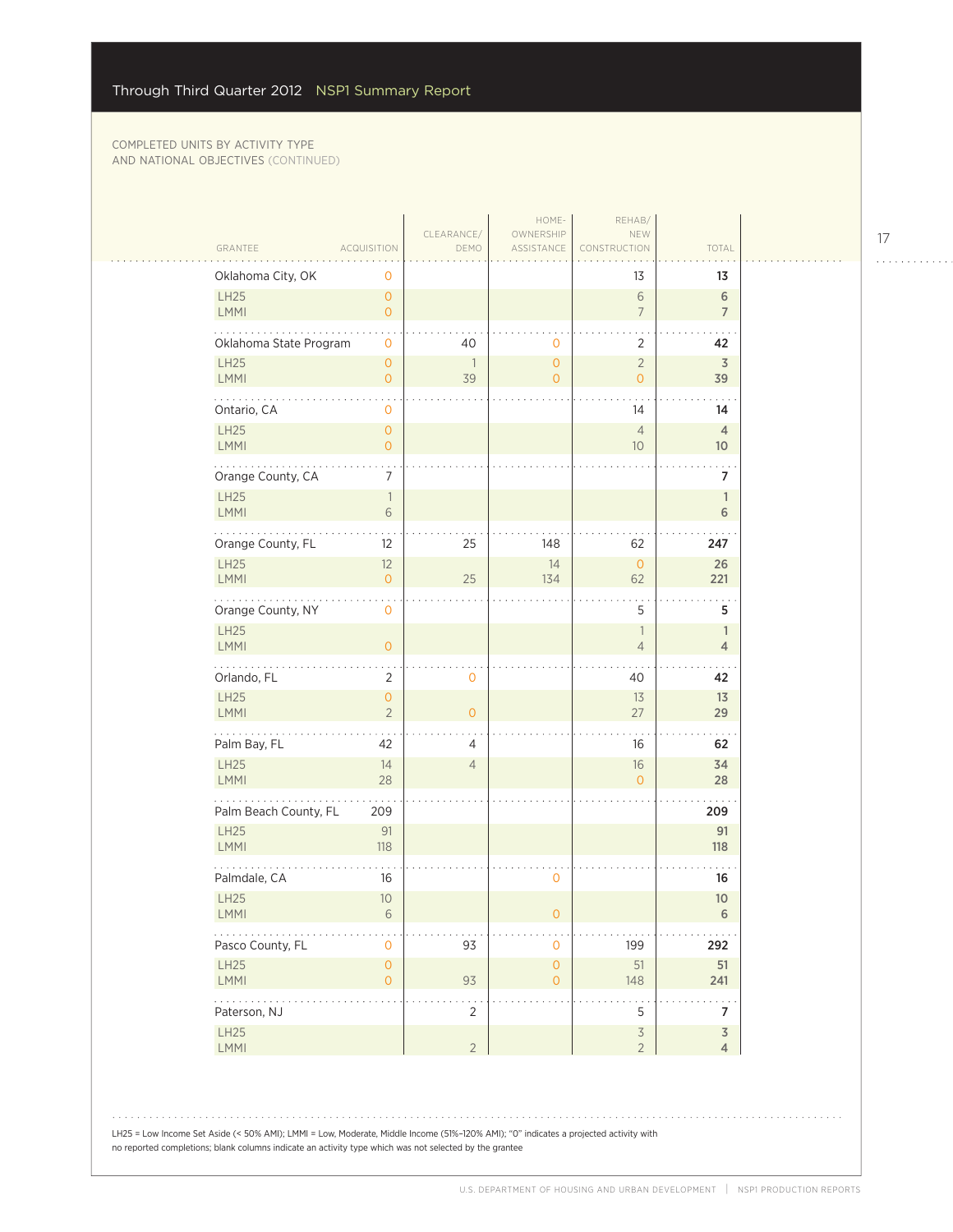$\sim$  .

|                                                              | CLEARANCE/           | HOME-<br>OWNERSHIP                         | REHAB/<br>NEW                              |                                   |
|--------------------------------------------------------------|----------------------|--------------------------------------------|--------------------------------------------|-----------------------------------|
| GRANTEE<br><b>ACQUISITION</b>                                | DEMO                 | ASSISTANCE                                 | CONSTRUCTION                               | TOTAL                             |
| Oklahoma City, OK<br>0                                       |                      |                                            | 13                                         | 13                                |
| LH25<br>$\overline{O}$<br>LMMI<br>$\overline{O}$             |                      |                                            | $\,$ $\,$ $\,$<br>$\overline{7}$           | 6<br>$\overline{7}$               |
| Oklahoma State Program<br>0                                  | 40                   | $\mathbf 0$                                | 2                                          | 42                                |
| LH25<br>$\overline{O}$<br><b>LMMI</b><br>$\overline{O}$      | $\overline{1}$<br>39 | $\overline{O}$<br>$\overline{O}$           | $\overline{2}$<br>$\overline{O}$           | $\overline{3}$<br>39              |
| .<br>Ontario, CA<br>0                                        |                      |                                            | 14                                         | 14                                |
| LH25<br>$\overline{0}$<br>LMMI<br>$\overline{O}$             |                      |                                            | $\overline{4}$<br>10                       | $\overline{4}$<br>10 <sup>°</sup> |
| Orange County, CA<br>$\overline{7}$                          |                      |                                            |                                            | 7                                 |
| LH25<br>$\overline{\phantom{a}}$<br><b>LMMI</b><br>6         |                      |                                            |                                            | $\mathbb{1}$<br>6                 |
| Orange County, FL<br>12                                      | 25                   | 148                                        | 62                                         | 247                               |
| <b>LH25</b><br>12<br><b>LMMI</b><br>$\overline{0}$           | 25                   | 14<br>134                                  | $\overline{0}$<br>62                       | 26<br>221                         |
| $\sim$ $\sim$ $\sim$ $\sim$<br>Orange County, NY<br>0        |                      |                                            | 5                                          | 5                                 |
| LH25<br><b>LMMI</b><br>$\overline{O}$                        |                      |                                            | $\overline{1}$<br>$\overline{4}$           | $\mathbf{1}$<br>$\overline{4}$    |
| Orlando, FL<br>$\overline{2}$                                | 0                    |                                            | 40                                         | 42                                |
| LH25<br>$\mathsf{O}\xspace$<br>$\overline{2}$<br>LMMI        | $\overline{O}$       |                                            | 13<br>27                                   | 13<br>29                          |
| .<br>Palm Bay, FL<br>42                                      | 4                    |                                            | 16                                         | 62                                |
| LH25<br>14<br><b>LMMI</b><br>28                              | $\overline{4}$       |                                            | 16<br>$\Omega$                             | 34<br>28                          |
| Palm Beach County, FL<br>209                                 |                      |                                            |                                            | 209                               |
| LH25<br>91<br><b>LMMI</b><br>118                             |                      |                                            |                                            | 91<br>118                         |
| Palmdale, CA<br>16                                           |                      | $\mathbf 0$                                |                                            | 16                                |
| LH25<br>$10\,$<br><b>LMMI</b><br>6                           |                      | 0                                          |                                            | 10 <sup>°</sup><br>6              |
| Pasco County, FL<br>0                                        | 93                   | $\mathbf 0$                                | 199                                        | 292                               |
| <b>LH25</b><br>$\mathsf{O}\xspace$<br>LMMI<br>$\overline{O}$ | 93                   | $\mathsf{O}\xspace$<br>$\mathsf{O}\xspace$ | 51<br>148                                  | 51<br>241                         |
| .<br>Paterson, NJ                                            | 2                    |                                            | 5                                          | 7                                 |
| LH25<br>LMMI                                                 | $\overline{2}$       |                                            | $\overline{\mathcal{S}}$<br>$\overline{2}$ | $\overline{3}$<br>$\overline{4}$  |
|                                                              |                      |                                            |                                            |                                   |

LH25 = Low Income Set Aside (< 50% AMI); LMMI = Low, Moderate, Middle Income (51%–120% AMI); "0" indicates a projected activity with no reported completions; blank columns indicate an activity type which was not selected by the grantee

17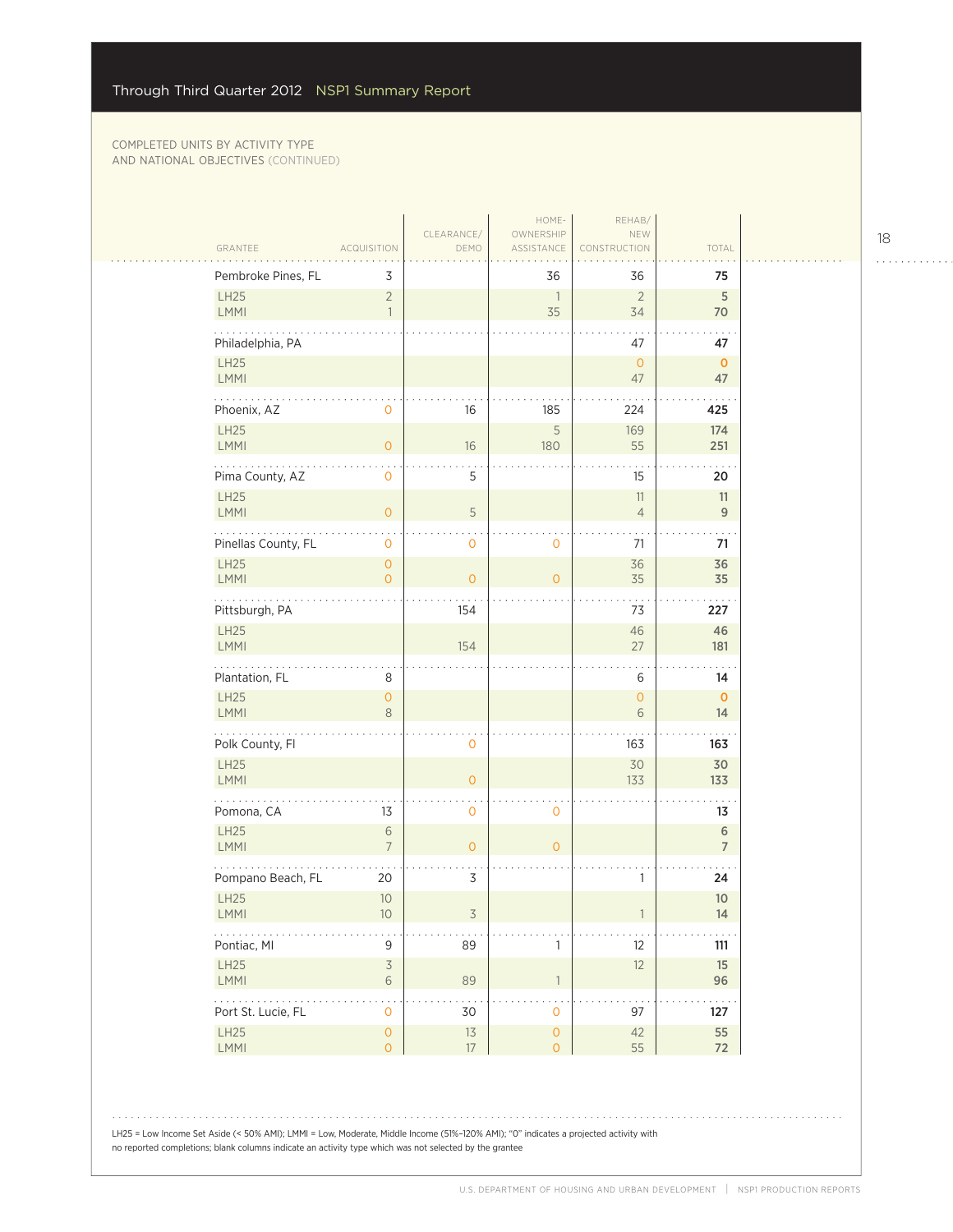$\sim$  .  $\sim$ 

|                            |                                        |                    | HOME-                              | REHAB/                   |                       |
|----------------------------|----------------------------------------|--------------------|------------------------------------|--------------------------|-----------------------|
| GRANTEE                    | <b>ACQUISITION</b>                     | CLEARANCE/<br>DEMO | OWNERSHIP<br>ASSISTANCE            | NEW<br>CONSTRUCTION      | TOTAL                 |
| Pembroke Pines, FL         | 3                                      |                    | 36                                 | 36                       | 75                    |
| <b>LH25</b><br>LMMI        | $\overline{2}$<br>$\overline{1}$       |                    | $\overline{1}$<br>35               | $\overline{2}$<br>34     | 5<br>70               |
| Philadelphia, PA           |                                        |                    |                                    | 47                       | 47                    |
| LH25<br>LMMI               |                                        |                    |                                    | $\overline{0}$<br>47     | $\mathbf{0}$<br>47    |
| .<br>Phoenix, AZ           | 0                                      | 16                 | 185                                | 224                      | 425                   |
| LH25<br>LMMI               | $\overline{0}$                         | 16                 | 5<br>180                           | 169<br>55                | 174<br>251            |
| Pima County, AZ            | $\mathbf 0$                            | 5                  |                                    | 15                       | 20                    |
| LH25<br>LMMI               | $\overline{0}$                         | 5                  |                                    | 11<br>$\overline{4}$     | 11<br>9               |
| Pinellas County, FL        | $\mathbf 0$                            | 0                  | 0                                  | 71                       | 71                    |
| LH25<br>LMMI               | $\circ$<br>$\Omega$                    | $\mathbf{O}$       | $\overline{0}$                     | 36<br>35                 | 36<br>35              |
| Pittsburgh, PA             |                                        | 154                |                                    | 73                       | 227                   |
| LH25<br><b>LMMI</b>        |                                        | 154                |                                    | 46<br>27                 | 46<br>181             |
| Plantation, FL             | 8                                      |                    |                                    | 6                        | 14                    |
| <b>LH25</b><br>LMMI        | $\mathbf{O}$<br>8                      |                    |                                    | $\mathsf{O}\xspace$<br>6 | $\mathbf{0}$<br>14    |
| .<br>Polk County, Fl       |                                        | 0                  |                                    | 163                      | 163                   |
| LH25<br><b>LMMI</b>        |                                        | $\overline{O}$     |                                    | 30<br>133                | 30<br>133             |
| Pomona, CA                 | 13                                     | 0                  | $\mathbf 0$                        |                          | 13                    |
| LH25<br>LMMI               | $\sqrt{6}$<br>$\overline{7}$           | $\overline{O}$     | $\overline{0}$                     |                          | 6<br>$\overline{7}$   |
| Pompano Beach, FL          | 20                                     | 3                  |                                    | 1                        | 24                    |
| <b>LH25</b><br><b>LMMI</b> | $10$<br>10                             | 3                  |                                    |                          | 10 <sup>°</sup><br>14 |
| Pontiac, MI                | $\mathsf 9$                            | 89                 | 1                                  | 12                       | 111                   |
| LH25<br>LMMI               | $\overline{\mathcal{S}}$<br>$\sqrt{6}$ | 89                 | $\overline{1}$                     | 12                       | 15<br>96              |
| .<br>Port St. Lucie, FL    | $\mathsf{O}\xspace$                    | 30                 | $\mathbf 0$                        | 97                       | $\sim$ $\sim$<br>127  |
| LH25<br>LMMI               | $\mathsf{O}\xspace$<br>$\overline{O}$  | 13<br>17           | $\mathsf O$<br>$\mathsf{O}\xspace$ | 42<br>55                 | 55<br>72              |
|                            |                                        |                    |                                    |                          |                       |

LH25 = Low Income Set Aside (< 50% AMI); LMMI = Low, Moderate, Middle Income (51%–120% AMI); "0" indicates a projected activity with no reported completions; blank columns indicate an activity type which was not selected by the grantee

18

. . . . . . . . . . . .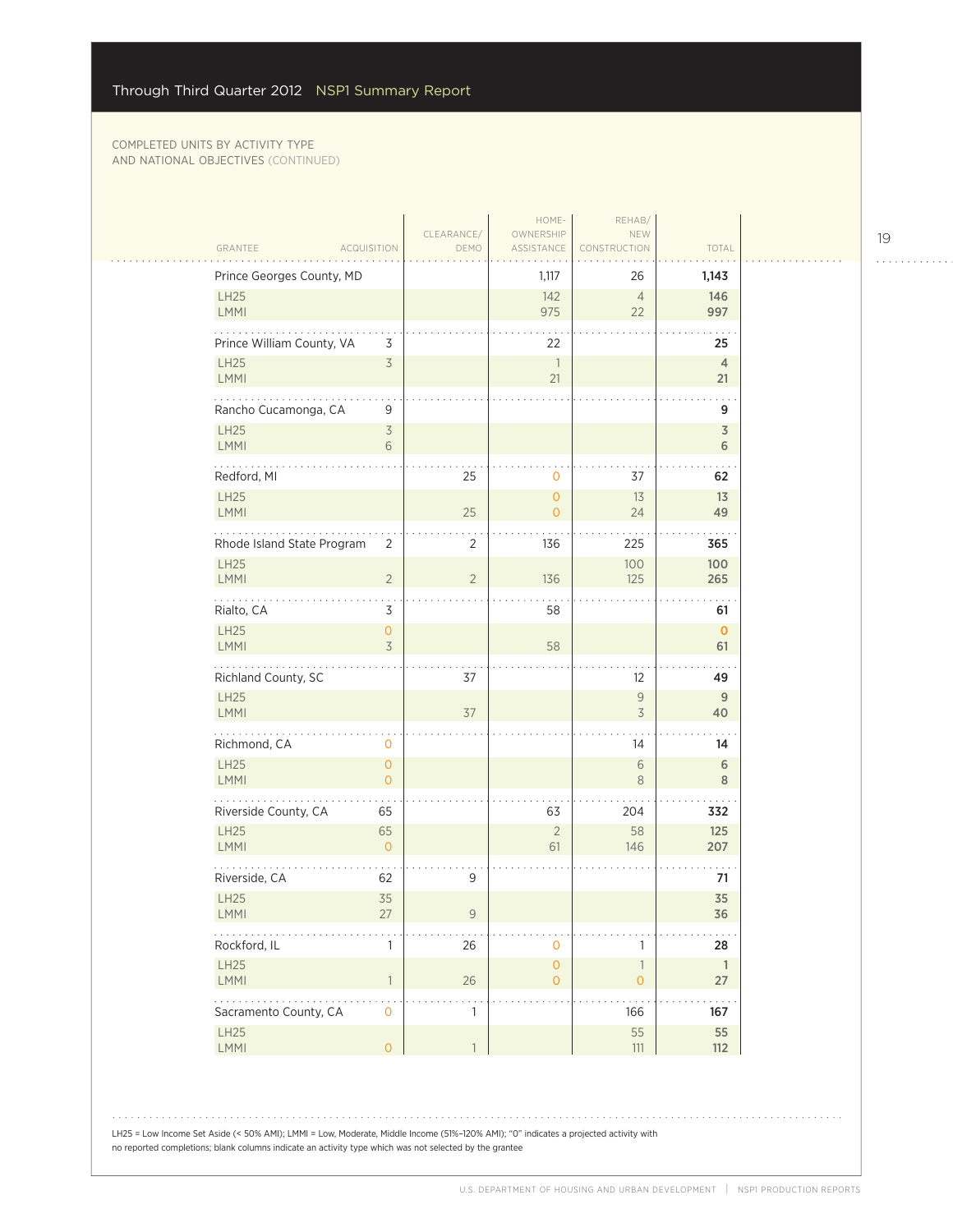| GRANTEE                    | <b>ACQUISITION</b>             | CLEARANCE/<br>DEMO | HOME-<br>OWNERSHIP<br>ASSISTANCE           | REHAB/<br>NEW<br>CONSTRUCTION                                          | TOTAL                                     |
|----------------------------|--------------------------------|--------------------|--------------------------------------------|------------------------------------------------------------------------|-------------------------------------------|
| Prince Georges County, MD  |                                |                    | 1,117                                      | 26                                                                     | 1,143                                     |
| LH25<br><b>LMMI</b>        |                                |                    | 142<br>975                                 | $\overline{4}$<br>22                                                   | 146<br>997                                |
| Prince William County, VA  | 3                              |                    | 22                                         |                                                                        | 25                                        |
| <b>LH25</b><br>LMMI        | $\overline{3}$                 |                    | $\mathbf{1}$<br>21                         |                                                                        | $\overline{4}$<br>21                      |
| .<br>Rancho Cucamonga, CA  | 9                              |                    |                                            |                                                                        | 9                                         |
| LH25<br>LMMI               | 3<br>6                         |                    |                                            |                                                                        | $\overline{\mathsf{3}}$<br>$6\phantom{a}$ |
| Redford, MI                |                                | 25                 | 0                                          | 37                                                                     | 62                                        |
| LH25<br>LMMI               |                                | 25                 | $\overline{O}$<br>$\overline{O}$           | 13<br>24                                                               | 13<br>49                                  |
| Rhode Island State Program | 2                              | 2                  | 136                                        | 225                                                                    | 365                                       |
| <b>LH25</b><br>LMMI        | $\overline{2}$                 | $\overline{2}$     | 136                                        | 100<br>125                                                             | 100<br>265                                |
| Rialto, CA                 | 3                              |                    | 58                                         |                                                                        | 61                                        |
| <b>LH25</b><br>LMMI        | $\overline{0}$<br>3            |                    | 58                                         |                                                                        | $\mathbf{O}$<br>61                        |
| Richland County, SC        |                                | 37                 |                                            | 12                                                                     | 49                                        |
| <b>LH25</b><br><b>LMMI</b> |                                | 37                 |                                            | $\mathcal{G}% _{M_{1},M_{2}}^{\alpha,\beta}(\mathcal{A})$<br>$\preceq$ | 9<br>40                                   |
| Richmond, CA               | 0                              |                    |                                            | 14                                                                     | 14                                        |
| LH25<br><b>LMMI</b>        | $\mathbf{0}$<br>$\overline{O}$ |                    |                                            | $\sqrt{6}$<br>$\,8\,$                                                  | $\,$ 6<br>8                               |
| Riverside County, CA       | 65                             |                    | 63                                         | 204                                                                    | 332                                       |
| LH25<br>LMMI               | 65<br>$\overline{O}$           |                    | $\overline{2}$<br>61                       | 58<br>146                                                              | 125<br>207                                |
| Riverside, CA              | 62                             | 9                  |                                            |                                                                        | 71                                        |
| LH25<br>LMM                | 35<br>27                       | $\mathsf 9$        |                                            |                                                                        | 35<br>36                                  |
| Rockford, IL               | 1                              | 26                 | $\mathbf 0$                                | $\mathbf{1}$                                                           | 28                                        |
| LH25<br>LMMI               | $\overline{1}$                 | $26\,$             | $\mathsf{O}\xspace$<br>$\mathsf{O}\xspace$ | $\ensuremath{\mathbb{I}}$<br>$\mathsf{O}\xspace$                       | $\overline{1}$<br>27                      |
| .<br>Sacramento County, CA | $\mathbf{O}$                   | $\mathbf{1}$       |                                            | 166                                                                    | 167                                       |
| LH25<br>LMMI               | $\overline{O}$                 | $\overline{1}$     |                                            | 55<br>$111\,$                                                          | 55<br>$112$                               |

LH25 = Low Income Set Aside (< 50% AMI); LMMI = Low, Moderate, Middle Income (51%–120% AMI); "0" indicates a projected activity with no reported completions; blank columns indicate an activity type which was not selected by the grantee

U.S. DEPARTMENT OF HOUSING AND URBAN DEVELOPMENT | NSP1 PRODUCTION REPORTS

. . . . . . . . . . . .

 $\mathbb{R}$  . .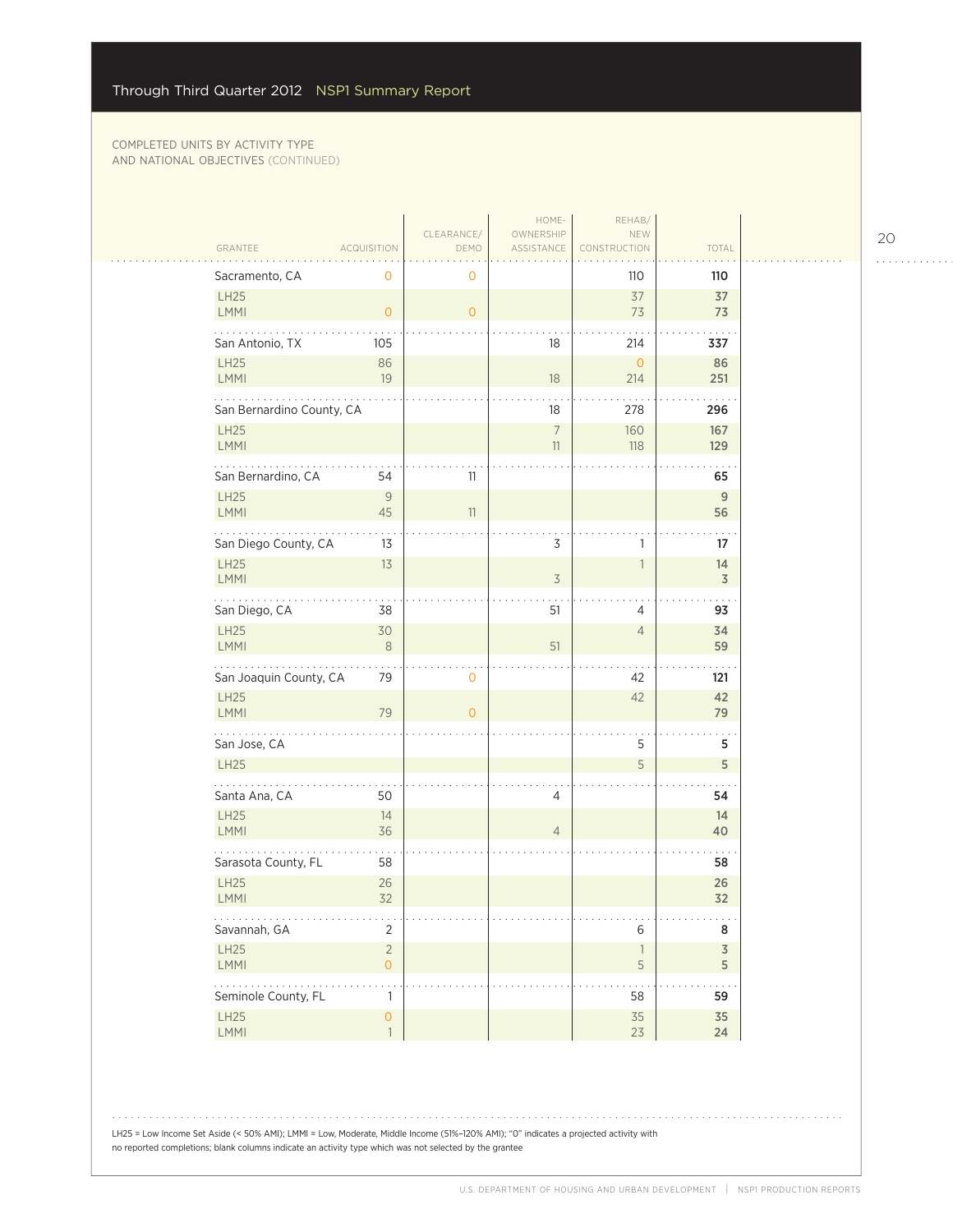$\sim$  .

| CLEARANCE/<br>OWNERSHIP<br>NEW<br>TOTAL<br>GRANTEE<br><b>ACQUISITION</b><br>ASSISTANCE<br>DEMO<br>CONSTRUCTION<br>Sacramento, CA<br>0<br>110<br>0<br>110<br>LH25<br>37<br>37<br>LMMI<br>73<br>$\overline{0}$<br>$\overline{0}$<br>73<br>San Antonio, TX<br>18<br>214<br>337<br>105<br>LH25<br>86<br>86<br>$\mathsf{O}\xspace$<br>LMMI<br>19<br>$18\,$<br>214<br>251<br>.<br>San Bernardino County, CA<br>18<br>278<br>296<br>LH25<br>$\overline{7}$<br>167<br>160<br>LMMI<br>11<br>118<br>129<br>San Bernardino, CA<br>54<br>11<br>65<br><b>LH25</b><br>9<br>9<br><b>LMMI</b><br>45<br>56<br>11<br>San Diego County, CA<br>3<br>13<br>17<br>1<br><b>LH25</b><br>14<br>13<br>1<br><b>LMMI</b><br>$\overline{\mathcal{S}}$<br>3<br>San Diego, CA<br>51<br>38<br>93<br>4<br><b>LH25</b><br>34<br>30<br>$\overline{4}$<br><b>LMMI</b><br>51<br>$\,8\,$<br>59<br>San Joaquin County, CA<br>79<br>0<br>42<br>121<br><b>LH25</b><br>42<br>42<br>LMMI<br>79<br>79<br>$\overline{O}$<br>.<br>San Jose, CA<br>5<br>5<br>5<br><b>LH25</b><br>5<br>Santa Ana, CA<br>50<br>4<br>54<br><b>LH25</b><br>14<br>14<br>LMMI<br>36<br>$\overline{4}$<br>40<br>Sarasota County, FL<br>58<br>58<br><b>LH25</b><br>26<br>26<br>LMMI<br>32<br>32<br>.<br>Savannah, GA<br>$\overline{2}$<br>6<br>8<br>LH25<br>$\sqrt{2}$<br>$\overline{3}$<br>$\mathbb{1}$<br>LMMI<br>$\overline{O}$<br>5<br>5<br>.<br>Seminole County, FL<br>58<br>1<br>59<br>LH25<br>$\circ$<br>35<br>35<br>LMMI<br>$\overline{1}$<br>23<br>24 |  | HOME- | REHAB/ |  |
|-----------------------------------------------------------------------------------------------------------------------------------------------------------------------------------------------------------------------------------------------------------------------------------------------------------------------------------------------------------------------------------------------------------------------------------------------------------------------------------------------------------------------------------------------------------------------------------------------------------------------------------------------------------------------------------------------------------------------------------------------------------------------------------------------------------------------------------------------------------------------------------------------------------------------------------------------------------------------------------------------------------------------------------------------------------------------------------------------------------------------------------------------------------------------------------------------------------------------------------------------------------------------------------------------------------------------------------------------------------------------------------------------------------------------------------------------------------------------------------------|--|-------|--------|--|
|                                                                                                                                                                                                                                                                                                                                                                                                                                                                                                                                                                                                                                                                                                                                                                                                                                                                                                                                                                                                                                                                                                                                                                                                                                                                                                                                                                                                                                                                                         |  |       |        |  |
|                                                                                                                                                                                                                                                                                                                                                                                                                                                                                                                                                                                                                                                                                                                                                                                                                                                                                                                                                                                                                                                                                                                                                                                                                                                                                                                                                                                                                                                                                         |  |       |        |  |
|                                                                                                                                                                                                                                                                                                                                                                                                                                                                                                                                                                                                                                                                                                                                                                                                                                                                                                                                                                                                                                                                                                                                                                                                                                                                                                                                                                                                                                                                                         |  |       |        |  |
|                                                                                                                                                                                                                                                                                                                                                                                                                                                                                                                                                                                                                                                                                                                                                                                                                                                                                                                                                                                                                                                                                                                                                                                                                                                                                                                                                                                                                                                                                         |  |       |        |  |
|                                                                                                                                                                                                                                                                                                                                                                                                                                                                                                                                                                                                                                                                                                                                                                                                                                                                                                                                                                                                                                                                                                                                                                                                                                                                                                                                                                                                                                                                                         |  |       |        |  |
|                                                                                                                                                                                                                                                                                                                                                                                                                                                                                                                                                                                                                                                                                                                                                                                                                                                                                                                                                                                                                                                                                                                                                                                                                                                                                                                                                                                                                                                                                         |  |       |        |  |
|                                                                                                                                                                                                                                                                                                                                                                                                                                                                                                                                                                                                                                                                                                                                                                                                                                                                                                                                                                                                                                                                                                                                                                                                                                                                                                                                                                                                                                                                                         |  |       |        |  |
|                                                                                                                                                                                                                                                                                                                                                                                                                                                                                                                                                                                                                                                                                                                                                                                                                                                                                                                                                                                                                                                                                                                                                                                                                                                                                                                                                                                                                                                                                         |  |       |        |  |
|                                                                                                                                                                                                                                                                                                                                                                                                                                                                                                                                                                                                                                                                                                                                                                                                                                                                                                                                                                                                                                                                                                                                                                                                                                                                                                                                                                                                                                                                                         |  |       |        |  |
|                                                                                                                                                                                                                                                                                                                                                                                                                                                                                                                                                                                                                                                                                                                                                                                                                                                                                                                                                                                                                                                                                                                                                                                                                                                                                                                                                                                                                                                                                         |  |       |        |  |
|                                                                                                                                                                                                                                                                                                                                                                                                                                                                                                                                                                                                                                                                                                                                                                                                                                                                                                                                                                                                                                                                                                                                                                                                                                                                                                                                                                                                                                                                                         |  |       |        |  |
|                                                                                                                                                                                                                                                                                                                                                                                                                                                                                                                                                                                                                                                                                                                                                                                                                                                                                                                                                                                                                                                                                                                                                                                                                                                                                                                                                                                                                                                                                         |  |       |        |  |
|                                                                                                                                                                                                                                                                                                                                                                                                                                                                                                                                                                                                                                                                                                                                                                                                                                                                                                                                                                                                                                                                                                                                                                                                                                                                                                                                                                                                                                                                                         |  |       |        |  |
|                                                                                                                                                                                                                                                                                                                                                                                                                                                                                                                                                                                                                                                                                                                                                                                                                                                                                                                                                                                                                                                                                                                                                                                                                                                                                                                                                                                                                                                                                         |  |       |        |  |
|                                                                                                                                                                                                                                                                                                                                                                                                                                                                                                                                                                                                                                                                                                                                                                                                                                                                                                                                                                                                                                                                                                                                                                                                                                                                                                                                                                                                                                                                                         |  |       |        |  |
|                                                                                                                                                                                                                                                                                                                                                                                                                                                                                                                                                                                                                                                                                                                                                                                                                                                                                                                                                                                                                                                                                                                                                                                                                                                                                                                                                                                                                                                                                         |  |       |        |  |
|                                                                                                                                                                                                                                                                                                                                                                                                                                                                                                                                                                                                                                                                                                                                                                                                                                                                                                                                                                                                                                                                                                                                                                                                                                                                                                                                                                                                                                                                                         |  |       |        |  |
|                                                                                                                                                                                                                                                                                                                                                                                                                                                                                                                                                                                                                                                                                                                                                                                                                                                                                                                                                                                                                                                                                                                                                                                                                                                                                                                                                                                                                                                                                         |  |       |        |  |
|                                                                                                                                                                                                                                                                                                                                                                                                                                                                                                                                                                                                                                                                                                                                                                                                                                                                                                                                                                                                                                                                                                                                                                                                                                                                                                                                                                                                                                                                                         |  |       |        |  |
|                                                                                                                                                                                                                                                                                                                                                                                                                                                                                                                                                                                                                                                                                                                                                                                                                                                                                                                                                                                                                                                                                                                                                                                                                                                                                                                                                                                                                                                                                         |  |       |        |  |
|                                                                                                                                                                                                                                                                                                                                                                                                                                                                                                                                                                                                                                                                                                                                                                                                                                                                                                                                                                                                                                                                                                                                                                                                                                                                                                                                                                                                                                                                                         |  |       |        |  |
|                                                                                                                                                                                                                                                                                                                                                                                                                                                                                                                                                                                                                                                                                                                                                                                                                                                                                                                                                                                                                                                                                                                                                                                                                                                                                                                                                                                                                                                                                         |  |       |        |  |
|                                                                                                                                                                                                                                                                                                                                                                                                                                                                                                                                                                                                                                                                                                                                                                                                                                                                                                                                                                                                                                                                                                                                                                                                                                                                                                                                                                                                                                                                                         |  |       |        |  |
|                                                                                                                                                                                                                                                                                                                                                                                                                                                                                                                                                                                                                                                                                                                                                                                                                                                                                                                                                                                                                                                                                                                                                                                                                                                                                                                                                                                                                                                                                         |  |       |        |  |
|                                                                                                                                                                                                                                                                                                                                                                                                                                                                                                                                                                                                                                                                                                                                                                                                                                                                                                                                                                                                                                                                                                                                                                                                                                                                                                                                                                                                                                                                                         |  |       |        |  |

20

. . . . . . . . . . . .

LH25 = Low Income Set Aside (< 50% AMI); LMMI = Low, Moderate, Middle Income (51%–120% AMI); "0" indicates a projected activity with no reported completions; blank columns indicate an activity type which was not selected by the grantee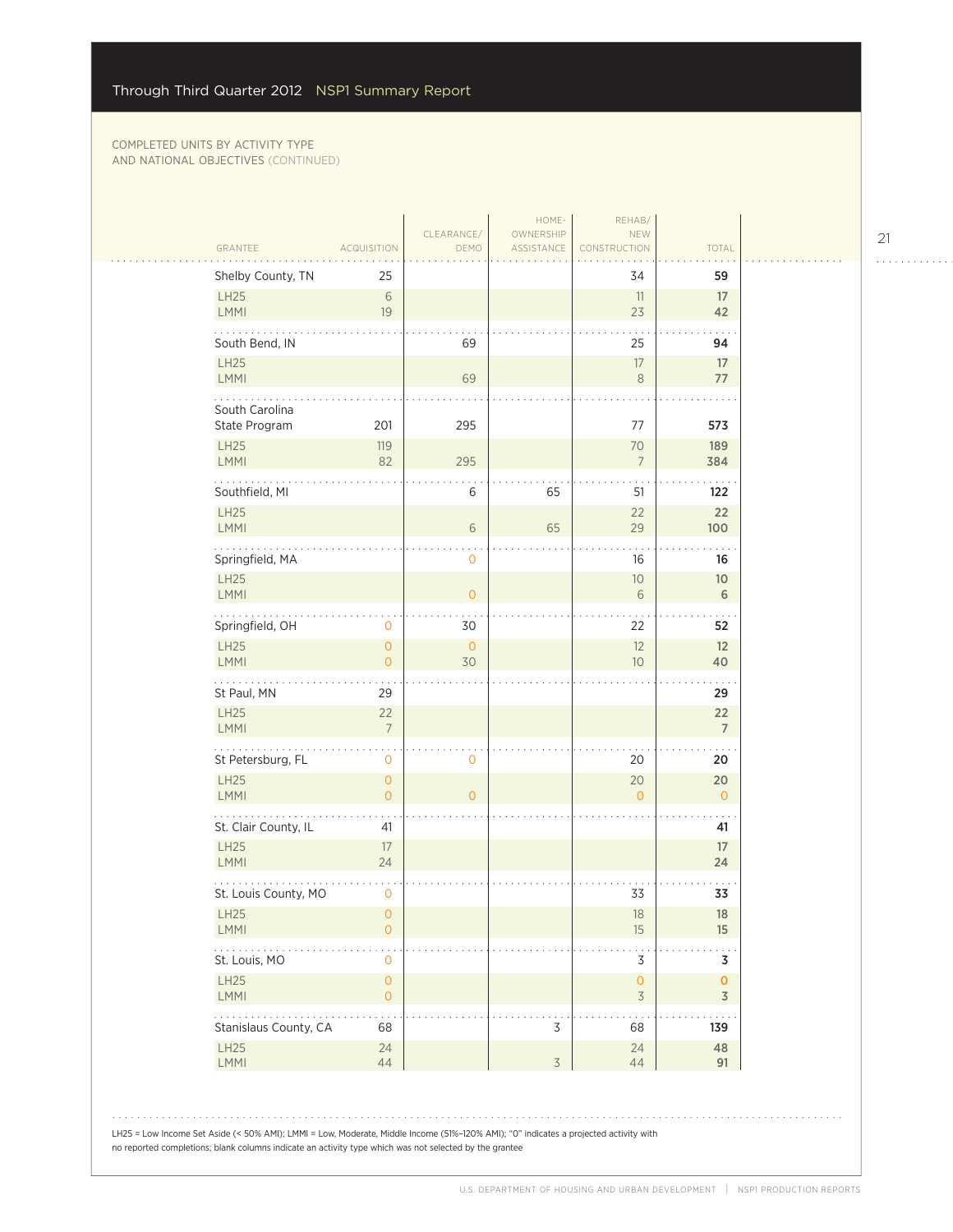| GRANTEE                                                                                                                              | <b>ACQUISITION</b>                         | CLEARANCE/<br>DEMO                                                                                     | HOME-<br>OWNERSHIP<br>ASSISTANCE | REHAB/<br>NEW<br>CONSTRUCTION                   | TOTAL                |  |
|--------------------------------------------------------------------------------------------------------------------------------------|--------------------------------------------|--------------------------------------------------------------------------------------------------------|----------------------------------|-------------------------------------------------|----------------------|--|
| Shelby County, TN                                                                                                                    | 25                                         |                                                                                                        |                                  | 34                                              | 59                   |  |
| LH25<br>LMMI                                                                                                                         | $\sqrt{6}$<br>19                           |                                                                                                        |                                  | 11<br>23                                        | 17<br>42             |  |
| South Bend, IN                                                                                                                       |                                            | 69                                                                                                     |                                  | 25                                              | 94                   |  |
| LH25                                                                                                                                 |                                            |                                                                                                        |                                  | 17                                              | 17                   |  |
| <b>LMMI</b>                                                                                                                          |                                            | 69                                                                                                     |                                  | $\,8\,$                                         | 77                   |  |
| South Carolina<br>State Program                                                                                                      | 201                                        | 295                                                                                                    |                                  | 77                                              | 573                  |  |
| LH25<br>LMMI                                                                                                                         | 119<br>82                                  | 295                                                                                                    |                                  | 70<br>$7\overline{ }$                           | 189<br>384           |  |
| Southfield, MI                                                                                                                       |                                            | 6                                                                                                      | 65                               | 51                                              | 122                  |  |
| LH25<br><b>LMMI</b>                                                                                                                  |                                            | 6                                                                                                      | 65                               | 22<br>29                                        | 22<br>100            |  |
| Springfield, MA                                                                                                                      |                                            | $\mathbf 0$                                                                                            |                                  | 16                                              | 16                   |  |
| <b>LH25</b><br><b>LMMI</b>                                                                                                           |                                            | $\overline{0}$                                                                                         |                                  | $10$<br>6                                       | $10$<br>6            |  |
| Springfield, OH                                                                                                                      | 0                                          | 30                                                                                                     |                                  | 22                                              | 52                   |  |
| <b>LH25</b><br><b>LMMI</b>                                                                                                           | $\overline{O}$<br>$\overline{O}$           | $\overline{0}$<br>30                                                                                   |                                  | 12<br>10                                        | 12<br>40             |  |
| St Paul, MN                                                                                                                          | 29                                         |                                                                                                        |                                  |                                                 | 29                   |  |
| LH25<br>LMMI                                                                                                                         | 22<br>$\overline{7}$                       |                                                                                                        |                                  |                                                 | 22<br>$\overline{7}$ |  |
| $\sim$ $\sim$ $\sim$ $\sim$<br>St Petersburg, FL                                                                                     | $\mathbf 0$                                | 0                                                                                                      |                                  | 20                                              | 20                   |  |
| LH25<br>LMMI                                                                                                                         | $\mathsf{O}\xspace$<br>$\overline{O}$      | $\overline{O}$                                                                                         |                                  | 20<br>$\Omega$                                  | 20<br>$\overline{O}$ |  |
| St. Clair County, IL                                                                                                                 | 41                                         |                                                                                                        |                                  |                                                 | 41                   |  |
| LH25<br><b>LMMI</b>                                                                                                                  | 17<br>24                                   |                                                                                                        |                                  |                                                 | 17<br>24             |  |
| St. Louis County, MO                                                                                                                 | $\mathbf 0$                                |                                                                                                        |                                  | 33                                              | 33                   |  |
| LH25<br><b>LMMI</b>                                                                                                                  | 0<br>$\mathsf{O}\xspace$                   |                                                                                                        |                                  | 18<br>15                                        | 18<br>15             |  |
| $\sim$ $\sim$ $\sim$ $\sim$<br>St. Louis, MO                                                                                         | 0                                          |                                                                                                        |                                  | 3                                               | 3                    |  |
| LH25<br><b>LMMI</b>                                                                                                                  | $\mathsf{O}\xspace$<br>$\mathsf{O}\xspace$ |                                                                                                        |                                  | $\mathsf{O}\xspace$<br>$\overline{\mathcal{S}}$ | 0<br>3               |  |
| Stanislaus County, CA                                                                                                                | 68                                         |                                                                                                        | 3                                | 68                                              | 139                  |  |
| LH25<br>LMMI                                                                                                                         | 24<br>44                                   |                                                                                                        | $\overline{\mathcal{S}}$         | 24<br>44                                        | 48<br>91             |  |
|                                                                                                                                      |                                            |                                                                                                        |                                  |                                                 |                      |  |
| LH25 = Low Income Set Aside (< 50% AMI); LMMI = Low, Moderate, Middle Income (51%-120% AMI); "0" indicates a projected activity with |                                            | no reported completions; blank columns indicate an activity type which was not selected by the grantee |                                  |                                                 |                      |  |

21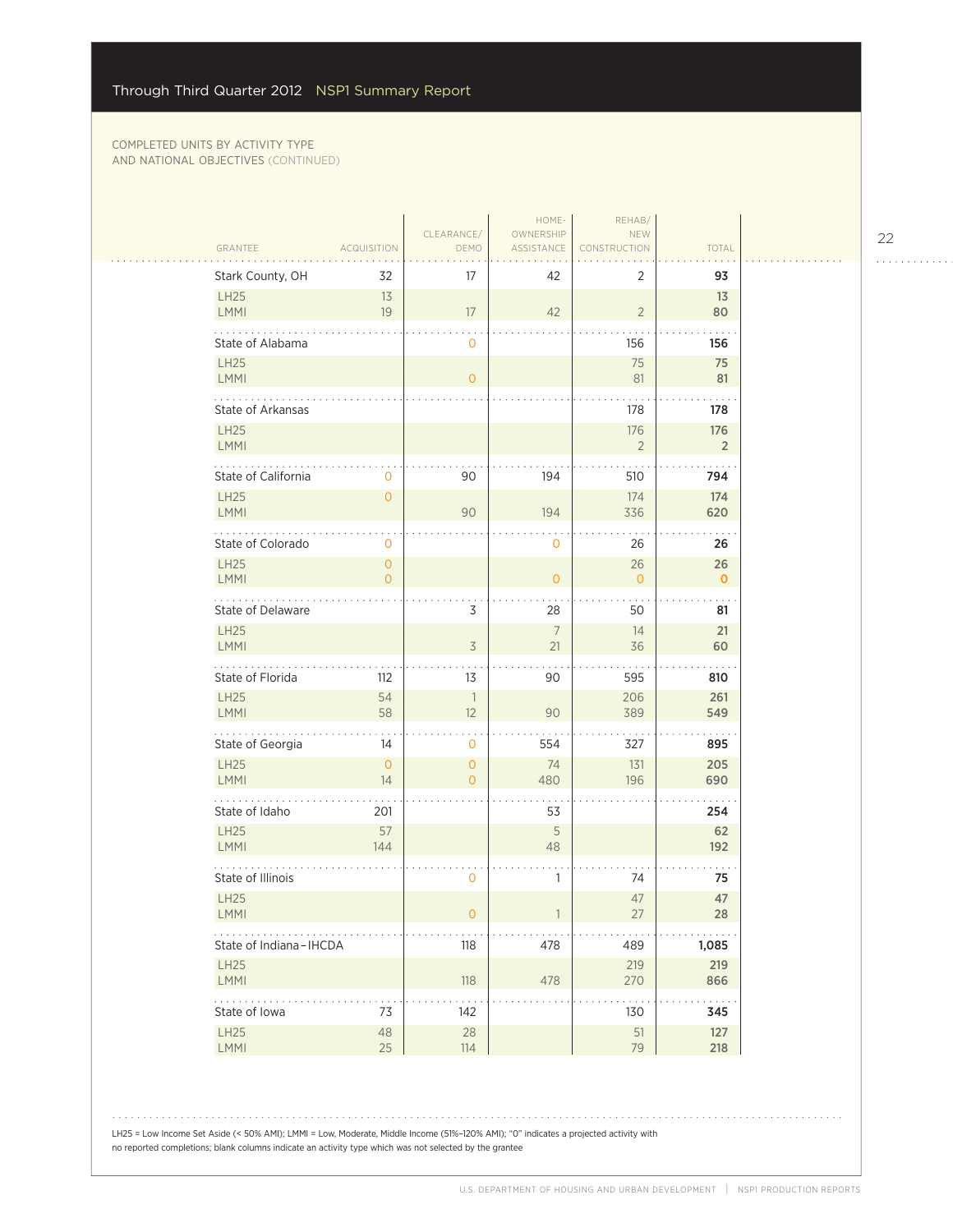$\sim$  .

|                                            |                                  | CLEARANCE/                       | HOME-<br>OWNERSHIP    | REHAB/<br>NEW         |                       |
|--------------------------------------------|----------------------------------|----------------------------------|-----------------------|-----------------------|-----------------------|
| GRANTEE                                    | <b>ACQUISITION</b>               | DEMO                             | ASSISTANCE            | CONSTRUCTION          | TOTAL                 |
| Stark County, OH                           | 32                               | 17                               | 42                    | 2                     | 93                    |
| <b>LH25</b><br><b>LMMI</b>                 | 13<br>19                         | 17                               | 42                    | $\overline{2}$        | 13<br>80              |
| State of Alabama                           |                                  | 0                                |                       | 156                   | 156                   |
| <b>LH25</b><br>LMMI                        |                                  | $\overline{O}$                   |                       | 75<br>81              | 75<br>81              |
| .<br><b>State of Arkansas</b>              |                                  |                                  |                       | 178                   | 178                   |
| <b>LH25</b><br>LMMI                        |                                  |                                  |                       | 176<br>$\overline{2}$ | 176<br>$\overline{2}$ |
| State of California                        | 0                                | 90                               | 194                   | 510                   | 794                   |
| <b>LH25</b><br>LMMI                        | $\overline{O}$                   | 90                               | 194                   | 174<br>336            | 174<br>620            |
| State of Colorado                          | 0                                |                                  | $\mathbf 0$           | 26                    | 26                    |
| <b>LH25</b><br>LMMI                        | $\overline{0}$<br>$\overline{O}$ |                                  | $\mathbf 0$           | 26<br>$\mathbf{O}$    | 26<br>$\mathbf 0$     |
| State of Delaware                          |                                  | 3                                | 28                    | 50                    | 81                    |
| <b>LH25</b><br><b>LMMI</b>                 |                                  | $\overline{\mathcal{S}}$         | $7\overline{ }$<br>21 | 14<br>36              | 21<br>60              |
| State of Florida                           | 112                              | 13                               | 90                    | 595                   | 810                   |
| <b>LH25</b><br>LMMI                        | 54<br>58                         | $\overline{\phantom{a}}$<br>12   | 90                    | 206<br>389            | 261<br>549            |
| .<br>State of Georgia                      | 14                               | 0                                | 554                   | 327                   | 895                   |
| <b>LH25</b><br><b>LMMI</b>                 | $\overline{O}$<br>14             | $\overline{O}$<br>$\overline{O}$ | 74<br>480             | 131<br>196            | 205<br>690            |
| State of Idaho                             | 201                              |                                  | 53                    |                       | 254                   |
| <b>LH25</b><br>LMMI                        | 57<br>144                        |                                  | 5<br>48               |                       | 62<br>192             |
| State of Illinois                          |                                  | 0                                | 1                     | 74                    | 75                    |
| LH25<br><b>LMMI</b>                        |                                  | 0                                |                       | 47<br>27              | 47<br>28              |
| State of Indiana-IHCDA                     |                                  | 118                              | 478                   | 489                   | 1,085                 |
| <b>LH25</b><br><b>LMMI</b>                 |                                  | 118                              | 478                   | 219<br>270            | 219<br>866            |
| $\mathbb{Z}^2$ . The same<br>State of Iowa | 73                               | 142                              |                       | 130                   | 345                   |
| LH25<br>LMMI                               | $48\,$<br>25                     | 28<br>114                        |                       | $51\,$<br>79          | 127<br>218            |

LH25 = Low Income Set Aside (< 50% AMI); LMMI = Low, Moderate, Middle Income (51%–120% AMI); "0" indicates a projected activity with no reported completions; blank columns indicate an activity type which was not selected by the grantee

22

. . . . . . . . . . . .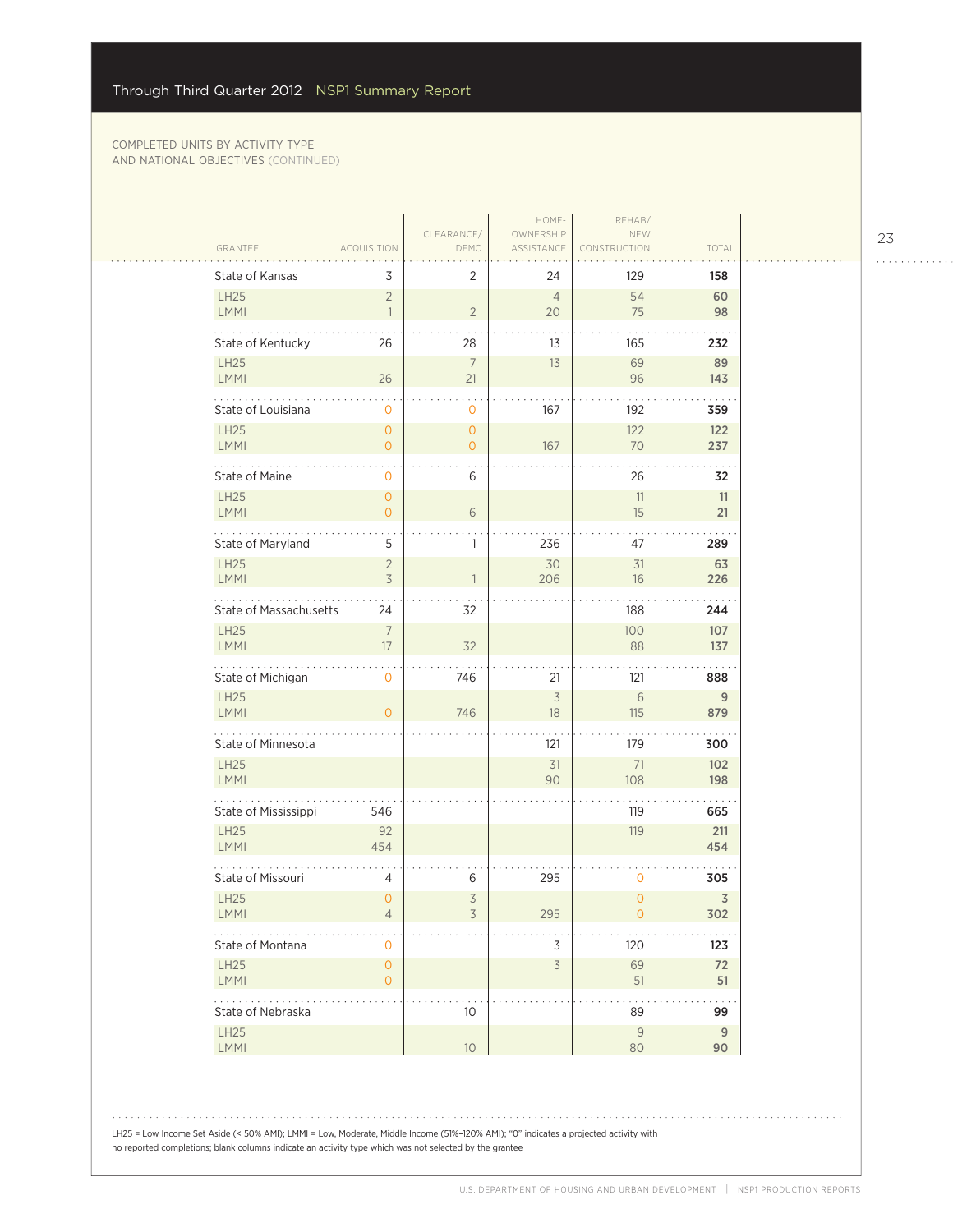$\mathcal{L}_{\mathcal{A}}$ 

|                            |                                |                               | HOME-                          | REHAB/              |                      |
|----------------------------|--------------------------------|-------------------------------|--------------------------------|---------------------|----------------------|
| GRANTEE                    | <b>ACQUISITION</b>             | CLEARANCE/<br>DEMO            | OWNERSHIP<br>ASSISTANCE        | NEW<br>CONSTRUCTION | TOTAL                |
| State of Kansas            | 3                              | $\overline{2}$                | 24                             | 129                 | 158                  |
| <b>LH25</b><br>LMMI        | $\overline{2}$<br>$\mathbf{1}$ | $\sqrt{2}$                    | $\overline{4}$<br>20           | 54<br>75            | 60<br>98             |
| State of Kentucky          | 26                             | 28                            | 13                             | 165                 | 232                  |
| LH25<br><b>LMMI</b>        | 26                             | $\boldsymbol{7}$<br>21        | 13                             | 69<br>96            | 89<br>143            |
| .<br>State of Louisiana    | $\mathbf{0}$                   |                               | 167                            |                     | $\ddotsc$            |
| <b>LH25</b>                | $\overline{O}$                 | 0<br>$\mathsf{O}\xspace$      |                                | 192<br>122          | 359<br>122           |
| <b>LMMI</b>                | $\overline{O}$                 | $\overline{O}$                | 167                            | 70                  | 237                  |
| State of Maine             | $\mathbf{O}$                   | 6                             |                                | 26                  | 32                   |
| <b>LH25</b>                | $\overline{0}$                 |                               |                                | 11                  | 11                   |
| <b>LMMI</b>                | $\overline{0}$                 | $\sqrt{6}$                    |                                | 15                  | 21                   |
| State of Maryland          | 5                              | $\mathbb{1}$                  | 236                            | 47                  | 289                  |
| LH25                       | $\overline{2}$                 |                               | 30                             | 31                  | 63                   |
| LMMI                       | 3                              | $\overline{\phantom{a}}$      | 206                            | 16                  | 226                  |
| State of Massachusetts     | 24                             | 32                            |                                | 188                 | 244                  |
| LH25                       | $\overline{7}$                 |                               |                                | 100                 | 107                  |
| LMMI                       | 17                             | 32                            |                                | 88                  | 137                  |
| State of Michigan          | $\mathbf{O}$                   | 746                           | 21                             | 121                 | 888                  |
| <b>LH25</b><br>LMMI        | $\overline{O}$                 | 746                           | $\overline{\mathcal{S}}$<br>18 | 6<br>115            | 9<br>879             |
| .                          |                                |                               |                                |                     |                      |
| State of Minnesota         |                                |                               | 121                            | 179                 | 300                  |
| LH25<br><b>LMMI</b>        |                                |                               | 31<br>90                       | 71<br>108           | 102<br>198           |
|                            |                                |                               |                                |                     | $\cdot$ $\cdot$      |
| State of Mississippi       | 546                            |                               |                                | 119                 | 665                  |
| LH25<br>LMMI               | 92<br>454                      |                               |                                | 119                 | 211<br>454           |
| State of Missouri          | 4                              | 6                             | 295                            | 0                   | 305                  |
| <b>LH25</b><br><b>LMMI</b> | $\mathbf{O}$<br>4              | $\overline{\mathcal{S}}$<br>3 | 295                            | $\mathbf 0$<br>O    | $\mathfrak Z$<br>302 |
| State of Montana           | 0                              |                               | 3                              | 120                 | 123                  |
| LH25<br><b>LMMI</b>        | $\overline{O}$<br>0            |                               | $\overline{5}$                 | 69<br>51            | 72<br>51             |
| State of Nebraska          |                                | 10                            |                                | 89                  | 99                   |
| LH25                       |                                |                               |                                | $\mathsf{9}$        | 9                    |
| LMMI                       |                                | $10\,$                        |                                | 80                  | 90                   |

23

. . . . . . . . . . . .

LH25 = Low Income Set Aside (< 50% AMI); LMMI = Low, Moderate, Middle Income (51%–120% AMI); "0" indicates a projected activity with no reported completions; blank columns indicate an activity type which was not selected by the grantee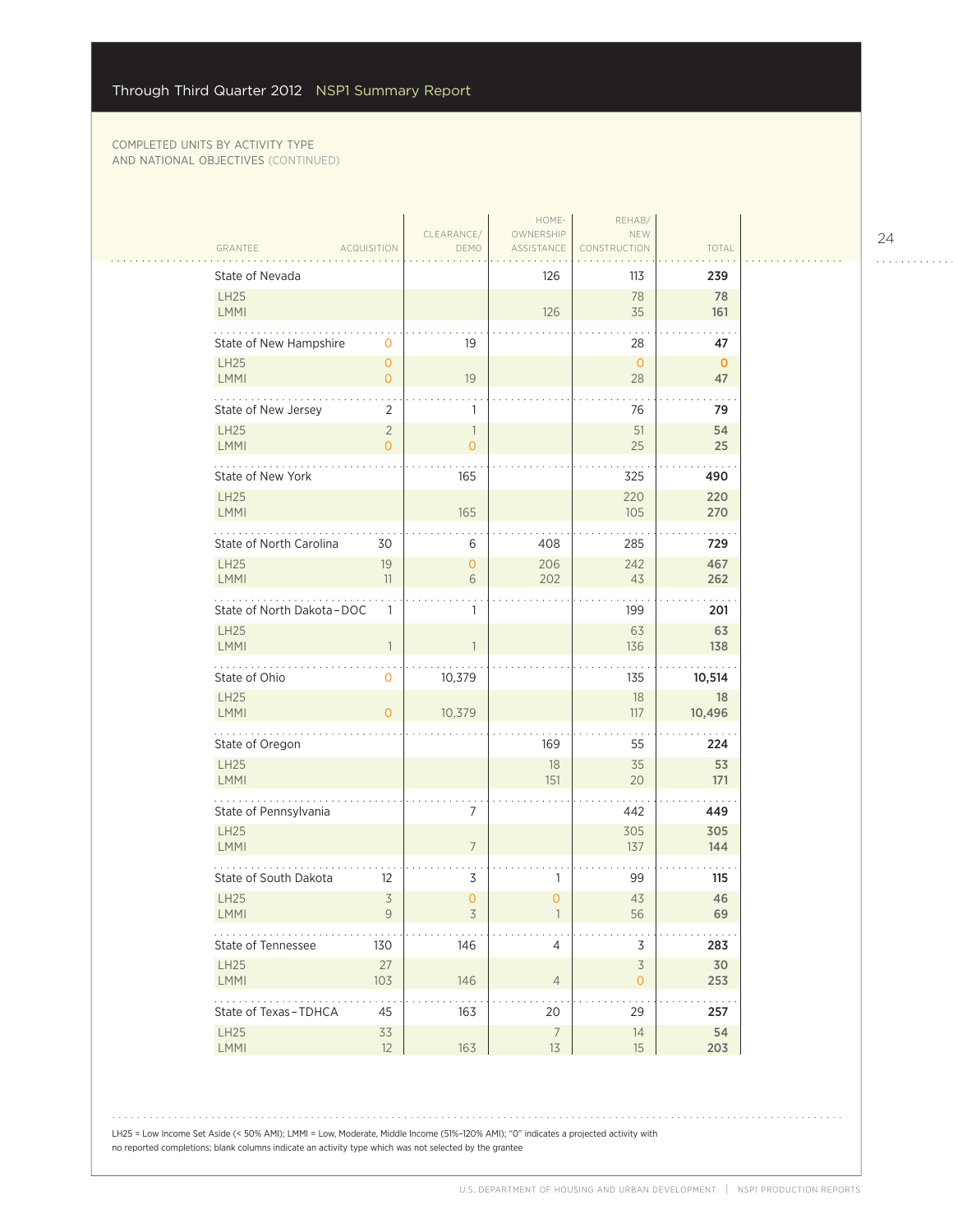|                            |                                  |                                | HOME-                   | REHAB/                                     |                    |
|----------------------------|----------------------------------|--------------------------------|-------------------------|--------------------------------------------|--------------------|
| GRANTEE                    | <b>ACQUISITION</b>               | CLEARANCE/<br>DEMO             | OWNERSHIP<br>ASSISTANCE | NEW<br>CONSTRUCTION                        | TOTAL              |
| State of Nevada            |                                  |                                | 126                     | 113                                        | 239                |
| <b>LH25</b><br>LMMI        |                                  |                                | 126                     | 78<br>35                                   | 78<br>161          |
| State of New Hampshire     | 0                                | 19                             |                         | 28                                         | 47                 |
| LH25<br>LMMI               | $\overline{0}$<br>$\overline{0}$ | 19                             |                         | $\overline{0}$<br>28                       | $\mathbf{0}$<br>47 |
| State of New Jersey        | 2                                | 1                              |                         | 76                                         | 79                 |
| LH25<br>LMMI               | $\overline{2}$<br>$\overline{O}$ | $\mathbf{1}$<br>$\overline{O}$ |                         | 51<br>25                                   | 54<br>25           |
| State of New York          |                                  | 165                            |                         | 325                                        | 490                |
| <b>LH25</b><br>LMMI        |                                  | 165                            |                         | 220<br>105                                 | 220<br>270         |
| State of North Carolina    | 30                               | 6                              | 408                     | 285                                        | 729                |
| <b>LH25</b><br><b>LMMI</b> | 19<br>11                         | 0<br>6                         | 206<br>202              | 242<br>43                                  | 467<br>262         |
| State of North Dakota-DOC  | 1                                | 1                              |                         | 199                                        | 201                |
| <b>LH25</b><br>LMMI        |                                  |                                |                         | 63<br>136                                  | 63<br>138          |
| State of Ohio              | 0                                | 10,379                         |                         | 135                                        | 10,514             |
| <b>LH25</b><br>LMMI        | $\Omega$                         | 10,379                         |                         | 18<br>117                                  | 18<br>10,496       |
| .<br>State of Oregon       |                                  |                                | 169                     | 55                                         | 224                |
| LH25<br><b>LMMI</b>        |                                  |                                | $18\,$<br>151           | 35<br>20                                   | 53<br>171          |
| State of Pennsylvania      |                                  | 7                              |                         | 442                                        | 449                |
| LH25<br>LMMI               |                                  | $\overline{7}$                 |                         | 305<br>137                                 | 305<br>144         |
| State of South Dakota      | 12                               | 3                              | 1                       | 99                                         | 115                |
| <b>LH25</b><br><b>LMMI</b> | $\overline{\mathcal{S}}$<br>9    | 0<br>3                         | $\overline{0}$          | 43<br>56                                   | 46<br>69           |
| State of Tennessee         | 130                              | 146                            | $\overline{4}$          | $\mathsf 3$                                | 283                |
| LH25<br>LMMI               | 27<br>103                        | 146                            | $\overline{4}$          | $\overline{\mathcal{S}}$<br>$\overline{0}$ | 30<br>253          |
| State of Texas-TDHCA       | 45                               | 163                            | 20                      | 29                                         | 257                |
| LH25<br>LMMI               | 33<br>12                         | 163                            | $\overline{7}$<br>13    | $14$<br>15                                 | 54<br>203          |

LH25 = Low Income Set Aside (< 50% AMI); LMMI = Low, Moderate, Middle Income (51%–120% AMI); "0" indicates a projected activity with no reported completions; blank columns indicate an activity type which was not selected by the grantee

24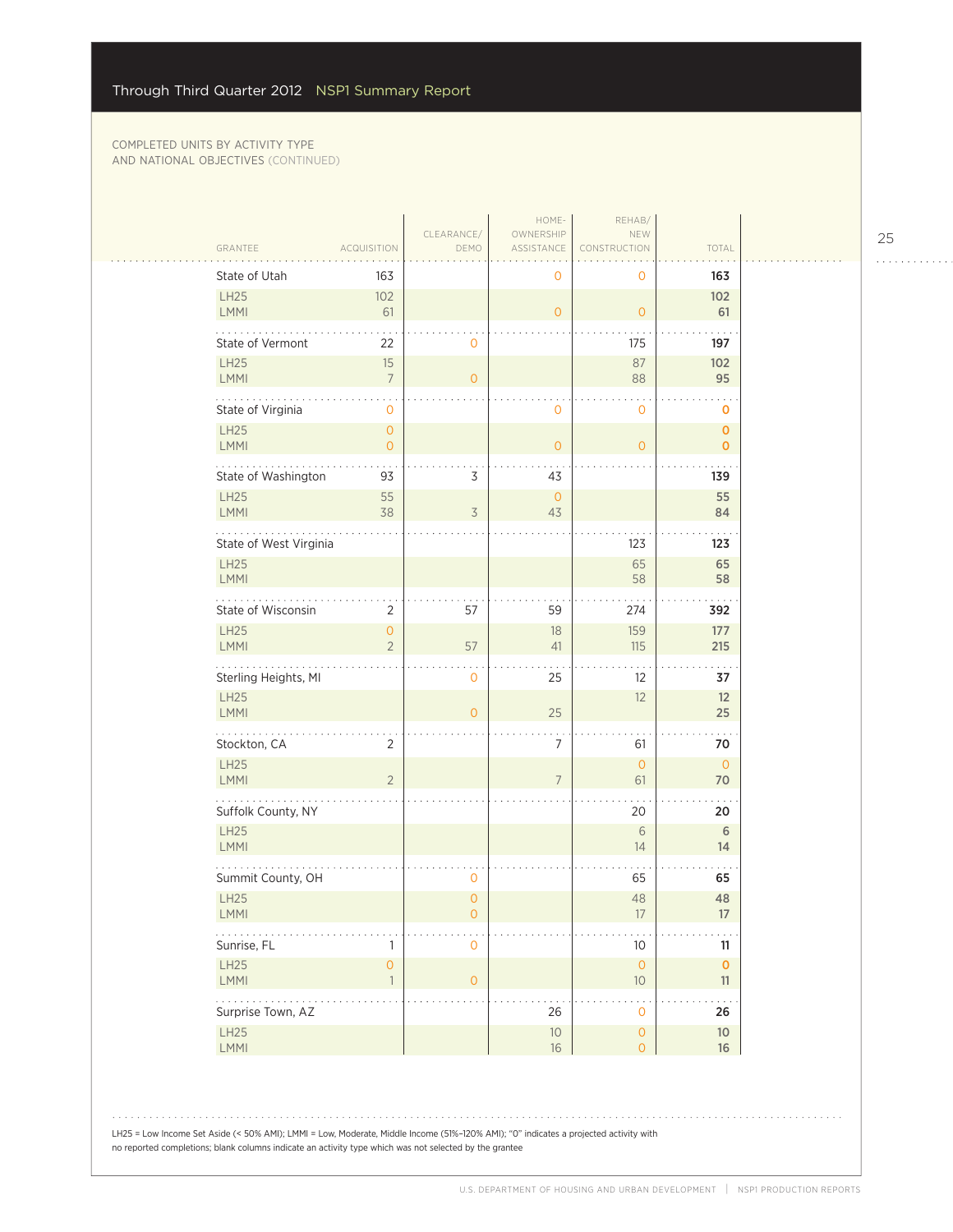| GRANTEE                                                   | <b>ACQUISITION</b>        | CLEARANCE/<br>DEMO                                      | HOME-<br>OWNERSHIP<br>ASSISTANCE | REHAB/<br>NEW<br>STRUCTION                  | TOTAL                      |  |
|-----------------------------------------------------------|---------------------------|---------------------------------------------------------|----------------------------------|---------------------------------------------|----------------------------|--|
| State of Utah                                             | 163                       |                                                         | 0                                | $\mathbf 0$                                 | 163                        |  |
| LH25<br>LMMI                                              | 102<br>61                 |                                                         | $\overline{O}$                   | $\mathsf{O}\xspace$                         | 102<br>61                  |  |
| State of Vermont                                          | 22                        | $\mathbf 0$                                             |                                  | 175                                         | 197                        |  |
| <b>LH25</b><br>LMMI                                       | 15                        | $\overline{7}$<br>$\mathbf{O}$                          |                                  | 87<br>88                                    | 102<br>95                  |  |
| State of Virginia                                         |                           | 0                                                       | $\mathbf 0$                      | 0                                           | $\mathbf 0$                |  |
| <b>LH25</b><br>LMMI                                       |                           | $\mathsf{O}\xspace$<br>$\overline{0}$                   | $\overline{0}$                   | $\overline{0}$                              | $\mathbf 0$<br>$\mathbf 0$ |  |
|                                                           | State of Washington<br>93 | 3                                                       | 43                               |                                             | 139                        |  |
| <b>LH25</b><br>LMMI                                       | 55<br>38                  | $\overline{3}$                                          | $\circ$<br>43                    |                                             | 55<br>84                   |  |
|                                                           | State of West Virginia    |                                                         |                                  | 123                                         | 123                        |  |
| <b>LH25</b><br>LMMI                                       |                           |                                                         |                                  | 65<br>58                                    | 65<br>58                   |  |
| State of Wisconsin                                        |                           | 57<br>$\overline{2}$                                    | 59                               | 274                                         | 392                        |  |
| LH25<br>LMMI                                              |                           | $\overline{0}$<br>$\overline{2}$<br>57                  | 18<br>41                         | 159<br>115                                  | 177<br>215                 |  |
|                                                           | Sterling Heights, MI      | $\mathbf 0$                                             | 25                               | 12                                          | 37                         |  |
| <b>LH25</b><br>LMMI                                       |                           | $\circ$                                                 | 25                               | 12                                          | 12<br>25                   |  |
| .<br>Stockton, CA                                         |                           | $\overline{2}$                                          | 7                                | 61                                          | 70                         |  |
| LH25<br>LMMI                                              |                           | $\overline{2}$                                          | $\overline{7}$                   | $\overline{0}$<br>61                        | $\overline{0}$<br>70       |  |
| Suffolk County, NY                                        |                           |                                                         |                                  | 20                                          | 20                         |  |
| <b>LH25</b><br>LMMI                                       |                           |                                                         |                                  | 6<br>14                                     | $\sqrt{6}$<br>14           |  |
|                                                           | Summit County, OH         | 0                                                       |                                  | 65                                          | 65                         |  |
| <b>LH25</b><br>LMMI                                       |                           | $\overline{0}$<br>$\mathsf{O}\xspace$                   |                                  | 48<br>$17\,$                                | 48<br>$17\,$               |  |
| $\mathbb{Z}^2$ . The set of $\mathbb{Z}^2$<br>Sunrise, FL |                           | 1<br>$\mathbf 0$                                        |                                  | $10$                                        | 11                         |  |
| LH25<br>LMMI                                              |                           | $\mathsf{O}\xspace$<br>$\overline{1}$<br>$\overline{O}$ |                                  | $\mathsf{O}\xspace$<br>$10$                 | $\mathbf 0$<br>11          |  |
| .<br>Surprise Town, AZ                                    |                           |                                                         | 26                               | $\ddot{\phantom{0}}$<br>$\mathsf{O}\xspace$ | 26                         |  |
| LH25<br>LMMI                                              |                           |                                                         | $10$<br>$16\,$                   | $\mathsf{O}\xspace$<br>$\overline{O}$       | $10$<br>16                 |  |

25 . . . . . . . . . . . .

LH25 = Low Income Set Aside (< 50% AMI); LMMI = Low, Moderate, Middle Income (51%–120% AMI); "0" indicates a projected activity with no reported completions; blank columns indicate an activity type which was not selected by the grantee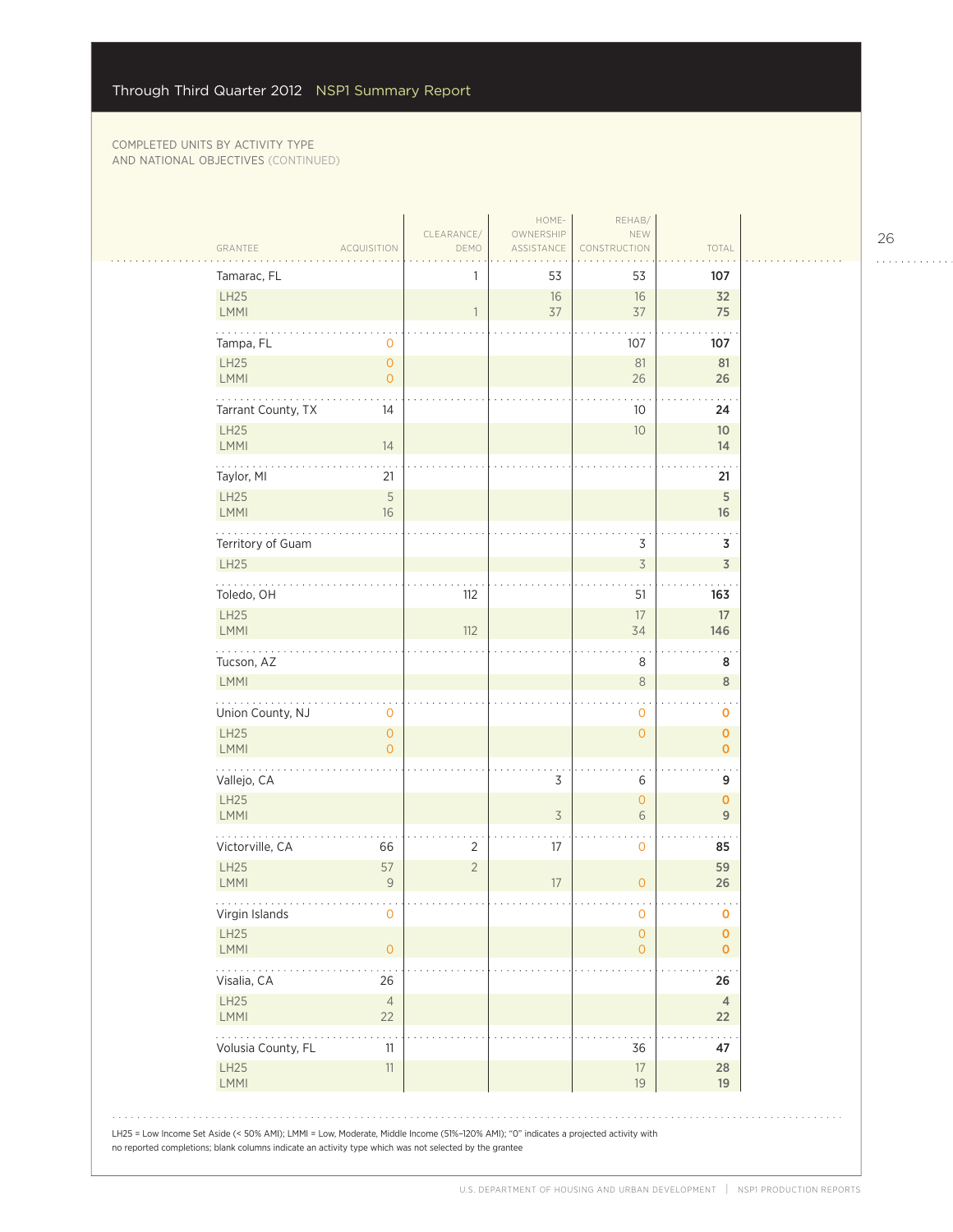| Tamarac, FL               |                                            |                | 53             | 53                                   | 107                        |
|---------------------------|--------------------------------------------|----------------|----------------|--------------------------------------|----------------------------|
| LH25<br>LMMI              |                                            | $\mathbf{1}$   | 16<br>37       | 16<br>37                             | 32<br>75                   |
| Tampa, FL                 | 0                                          |                |                | 107                                  | 107                        |
| LH25<br><b>LMMI</b>       | $\mathsf{O}\xspace$<br>$\mathsf{O}\xspace$ |                |                | 81<br>26                             | 81<br>26                   |
| .<br>Tarrant County, TX   | 14                                         |                |                | 10                                   | 24                         |
| LH25<br><b>LMMI</b>       | 14                                         |                |                | 10                                   | 10 <sup>°</sup><br>14      |
| Taylor, MI                | 21                                         |                |                |                                      | 21                         |
| LH25<br><b>LMMI</b>       | 5<br>$16\,$                                |                |                |                                      | $\mathsf S$<br>16          |
| Territory of Guam         |                                            |                |                | 3                                    | 3                          |
| LH25                      |                                            |                |                | $\overline{3}$                       | $\overline{3}$             |
| Toledo, OH<br>LH25        |                                            | 112            |                | 51<br>17                             | 163<br>$17\,$              |
| LMMI                      |                                            | 112            |                | 34                                   | 146                        |
| Tucson, AZ<br><b>LMMI</b> |                                            |                |                | 8<br>$\,8\,$                         | 8<br>$\,$ 8 $\,$           |
| Union County, NJ          | 0                                          |                |                | 0                                    | O                          |
| LH25<br><b>LMMI</b>       | $\mathsf{O}\xspace$<br>$\overline{O}$      |                |                | $\mathsf{O}\xspace$                  | $\mathbf 0$<br>$\mathbf 0$ |
| 200 L 201<br>Vallejo, CA  |                                            |                | 3              | 6                                    | 9                          |
| LH25<br>LMMI              |                                            |                | $\overline{3}$ | $\mathsf{O}\xspace$<br>6             | $\mathbf 0$<br>9           |
| Victorville, CA           | 66                                         | 2              | 17             | $\ddot{\phantom{0}}$<br>$\mathsf{O}$ | 85                         |
| LH25<br><b>LMMI</b>       | 57<br>$\mathcal G$                         | $\overline{2}$ | 17             | $\overline{O}$                       | 59<br>26                   |
| Virgin Islands            | $\circ$                                    |                |                | $\circ$                              | $\bf{O}$                   |
| LH25<br><b>LMMI</b>       | $\circ$                                    |                |                | $\mathsf{O}\xspace$<br>$\mathbf{O}$  | $\mathbf 0$<br>$\mathbf 0$ |
| للمناديد<br>Visalia, CA   | 26                                         |                |                |                                      | 26                         |
| LH25<br>LMMI              | $\overline{4}$<br>22                       |                |                |                                      | $\overline{4}$<br>22       |
| Volusia County, FL        | 11                                         |                |                | 36                                   | 47                         |
| LH25<br>LMMI              | $11\,$                                     |                |                | $17\,$<br>19                         | 28<br>19                   |

26